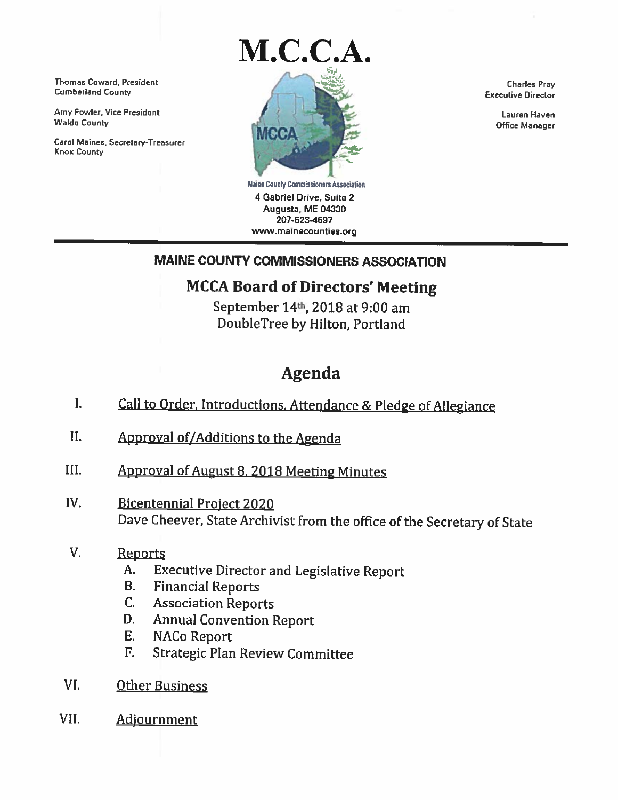**Thomas Coward, President Cumberland County** 

Amy Fowler, Vice President **Waldo County** 

Carol Maines, Secretary-Treasurer **Knox County** 



**Maine County Commissioners Association** 4 Gabriel Drive, Suite 2 Augusta, ME 04330 207-623-4697 www.mainecounties.org

**Charles Pray Executive Director** 

> Lauren Haven **Office Manager**

## **MAINE COUNTY COMMISSIONERS ASSOCIATION**

# **MCCA Board of Directors' Meeting**

September 14th, 2018 at 9:00 am DoubleTree by Hilton, Portland

# **Agenda**

- Call to Order, Introductions, Attendance & Pledge of Allegiance L
- II. Approval of/Additions to the Agenda
- III. Approval of August 8, 2018 Meeting Minutes
- IV. **Bicentennial Project 2020** Dave Cheever, State Archivist from the office of the Secretary of State
- $V_{-}$ Reports
	- A. **Executive Director and Legislative Report**
	- **B. Financial Reports**
	- $C_{\cdot}$ **Association Reports**
	- D. **Annual Convention Report**
	- Е. NACo Report
	- F. **Strategic Plan Review Committee**
- VI. **Other Business**
- VII. <u>Adjournment</u>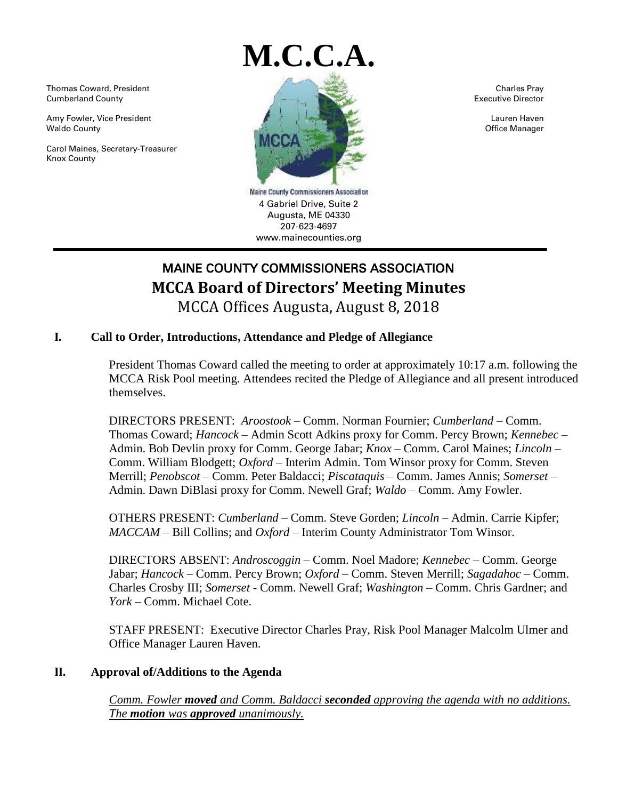Thomas Coward, President Cumberland County

 Amy Fowler, Vice President Waldo County

 Carol Maines, Secretary-Treasurer Knox County





Maine County Commissioners Association 4 Gabriel Drive, Suite 2 Augusta, ME 04330 207-623-4697 www.mainecounties.org

Charles Pray Executive Director

> Lauren Haven Office Manager

# MAINE COUNTY COMMISSIONERS ASSOCIATION **MCCA Board of Directors' Meeting Minutes** MCCA Offices Augusta, August 8, 2018

j

#### **I. Call to Order, Introductions, Attendance and Pledge of Allegiance**

President Thomas Coward called the meeting to order at approximately 10:17 a.m. following the MCCA Risk Pool meeting. Attendees recited the Pledge of Allegiance and all present introduced themselves.

DIRECTORS PRESENT: *Aroostook* – Comm. Norman Fournier; *Cumberland* – Comm. Thomas Coward; *Hancock* – Admin Scott Adkins proxy for Comm. Percy Brown; *Kennebec* – Admin. Bob Devlin proxy for Comm. George Jabar; *Knox* – Comm. Carol Maines; *Lincoln* – Comm. William Blodgett; *Oxford* – Interim Admin. Tom Winsor proxy for Comm. Steven Merrill; *Penobscot* – Comm. Peter Baldacci; *Piscataquis* – Comm. James Annis; *Somerset* – Admin. Dawn DiBlasi proxy for Comm. Newell Graf; *Waldo* – Comm. Amy Fowler.

OTHERS PRESENT: *Cumberland* – Comm. Steve Gorden; *Lincoln* – Admin. Carrie Kipfer; *MACCAM –* Bill Collins; and *Oxford –* Interim County Administrator Tom Winsor.

DIRECTORS ABSENT: *Androscoggin* – Comm. Noel Madore; *Kennebec* – Comm. George Jabar; *Hancock* – Comm. Percy Brown; *Oxford* – Comm. Steven Merrill; *Sagadahoc* – Comm. Charles Crosby III; *Somerset* - Comm. Newell Graf; *Washington* – Comm. Chris Gardner; and *York* – Comm. Michael Cote.

STAFF PRESENT: Executive Director Charles Pray, Risk Pool Manager Malcolm Ulmer and Office Manager Lauren Haven.

#### **II. Approval of/Additions to the Agenda**

*Comm. Fowler moved and Comm. Baldacci seconded approving the agenda with no additions. The motion was approved unanimously.*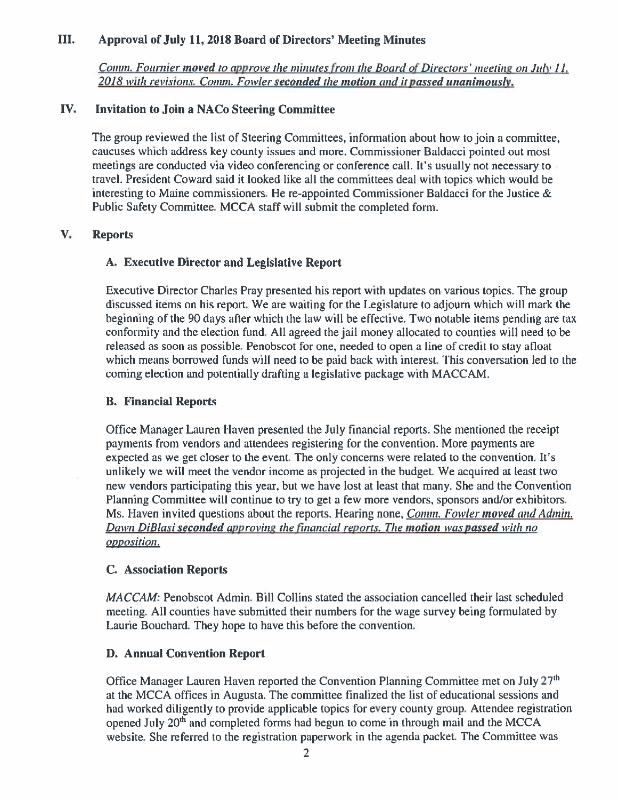#### III. Approval of July 11, 2018 Board of Directors' Meeting Minutes

Comm. Fournier moved to approve the minutes from the Board of Directors' meeting on July 11. 2018 with revisions. Comm. Fowler seconded the motion and it passed unanimously.

#### IV. **Invitation to Join a NACo Steering Committee**

The group reviewed the list of Steering Committees, information about how to join a committee, caucuses which address key county issues and more. Commissioner Baldacci pointed out most meetings are conducted via video conferencing or conference call. It's usually not necessary to travel. President Coward said it looked like all the committees deal with topics which would be interesting to Maine commissioners. He re-appointed Commissioner Baldacci for the Justice  $\&$ Public Safety Committee. MCCA staff will submit the completed form.

#### $V_{\ast}$ **Reports**

#### A. Executive Director and Legislative Report

Executive Director Charles Pray presented his report with updates on various topics. The group discussed items on his report. We are waiting for the Legislature to adjourn which will mark the beginning of the 90 days after which the law will be effective. Two notable items pending are tax conformity and the election fund. All agreed the jail money allocated to counties will need to be released as soon as possible. Penobscot for one, needed to open a line of credit to stay afloat which means borrowed funds will need to be paid back with interest. This conversation led to the coming election and potentially drafting a legislative package with MACCAM.

#### **B. Financial Reports**

Office Manager Lauren Haven presented the July financial reports. She mentioned the receipt payments from vendors and attendees registering for the convention. More payments are expected as we get closer to the event. The only concerns were related to the convention. It's unlikely we will meet the vendor income as projected in the budget. We acquired at least two new vendors participating this year, but we have lost at least that many. She and the Convention Planning Committee will continue to try to get a few more vendors, sponsors and/or exhibitors. Ms. Haven invited questions about the reports. Hearing none, *Comm. Fowler moved and Admin.* Dawn DiBlasi seconded approving the financial reports. The motion was passed with no opposition.

#### **C.** Association Reports

MACCAM: Penobscot Admin. Bill Collins stated the association cancelled their last scheduled meeting. All counties have submitted their numbers for the wage survey being formulated by Laurie Bouchard. They hope to have this before the convention.

#### **D. Annual Convention Report**

Office Manager Lauren Haven reported the Convention Planning Committee met on July 27<sup>th</sup> at the MCCA offices in Augusta. The committee finalized the list of educational sessions and had worked diligently to provide applicable topics for every county group. Attendee registration opened July 20<sup>th</sup> and completed forms had begun to come in through mail and the MCCA website. She referred to the registration paperwork in the agenda packet. The Committee was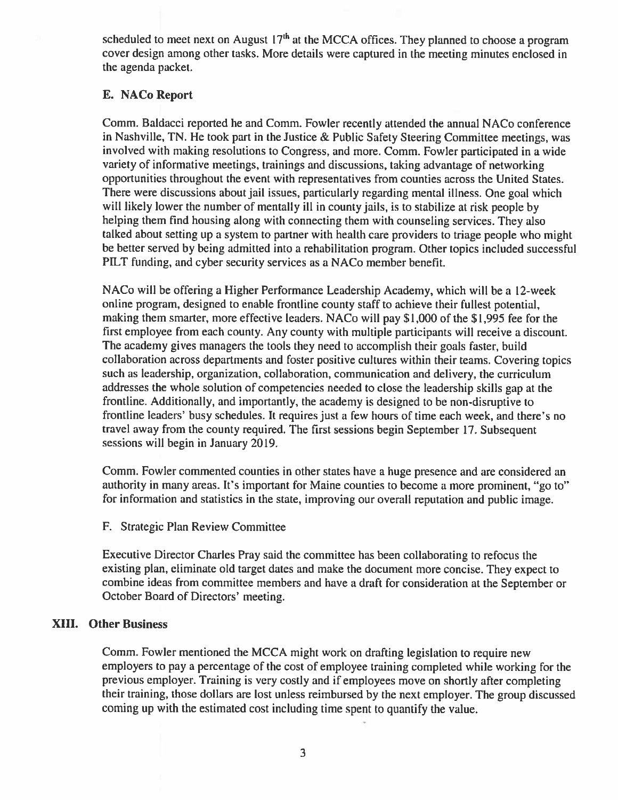scheduled to meet next on August  $17<sup>th</sup>$  at the MCCA offices. They planned to choose a program cover design among other tasks. More details were captured in the meeting minutes enclosed in the agenda packet.

#### E. NACo Report

Comm. Baldacci reported he and Comm. Fowler recently attended the annual NACo conference in Nashville, TN. He took part in the Justice  $\&$  Public Safety Steering Committee meetings, was involved with making resolutions to Congress, and more. Comm. Fowler participated in a wide variety of informative meetings, trainings and discussions, taking advantage of networking opportunities throughout the event with representatives from counties across the United States. There were discussions about jail issues, particularly regarding mental illness. One goal which will likely lower the number of mentally ill in county jails, is to stabilize at risk people by helping them find housing along with connecting them with counseling services. They also talked about setting up a system to partner with health care providers to triage people who might be better served by being admitted into a rehabilitation program. Other topics included successful PILT funding, and cyber security services as a NACo member benefit.

NACo will be offering a Higher Performance Leadership Academy, which will be a 12-week online program, designed to enable frontline county staff to achieve their fullest potential, making them smarter, more effective leaders. NACo will pay \$1,000 of the \$1,995 fee for the first employee from each county. Any county with multiple participants will receive a discount. The academy gives managers the tools they need to accomplish their goals faster, build collaboration across departments and foster positive cultures within their teams. Covering topics such as leadership, organization, collaboration, communication and delivery, the curriculum addresses the whole solution of competencies needed to close the leadership skills gap at the frontline. Additionally, and importantly, the academy is designed to be non-disruptive to frontline leaders' busy schedules. It requires just a few hours of time each week, and there's no travel away from the county required. The first sessions begin September 17. Subsequent sessions will begin in January 2019.

Comm. Fowler commented counties in other states have a huge presence and are considered an authority in many areas. It's important for Maine counties to become a more prominent, "go to" for information and statistics in the state, improving our overall reputation and public image.

F. Strategic Plan Review Committee

Executive Director Charles Pray said the committee has been collaborating to refocus the existing plan, eliminate old target dates and make the document more concise. They expect to combine ideas from committee members and have a draft for consideration at the September or October Board of Directors' meeting.

#### **XIII.** Other Business

Comm. Fowler mentioned the MCCA might work on drafting legislation to require new employers to pay a percentage of the cost of employee training completed while working for the previous employer. Training is very costly and if employees move on shortly after completing their training, those dollars are lost unless reimbursed by the next employer. The group discussed coming up with the estimated cost including time spent to quantify the value.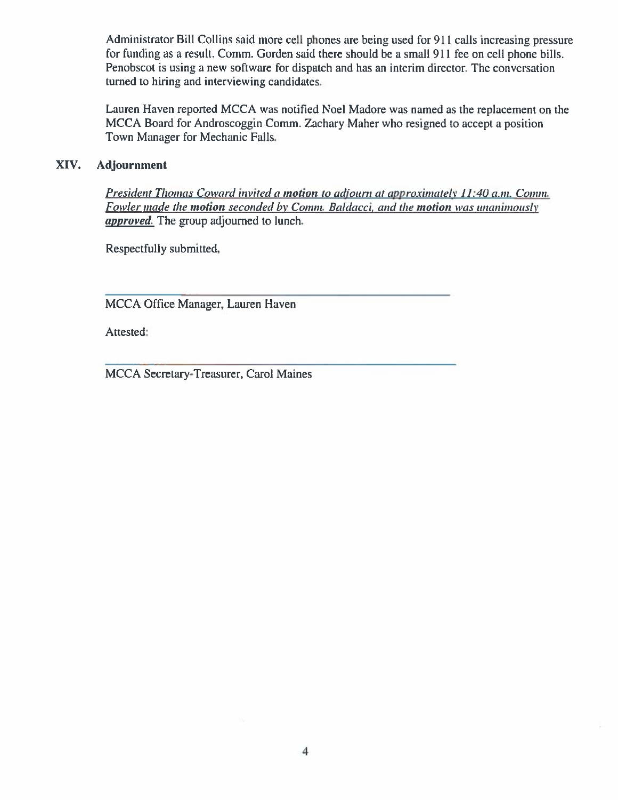Administrator Bill Collins said more cell phones are being used for 911 calls increasing pressure for funding as a result. Comm. Gorden said there should be a small 911 fee on cell phone bills. Penobscot is using a new software for dispatch and has an interim director. The conversation turned to hiring and interviewing candidates.

Lauren Haven reported MCCA was notified Noel Madore was named as the replacement on the MCCA Board for Androscoggin Comm. Zachary Maher who resigned to accept a position Town Manager for Mechanic Falls.

#### **Adjournment** XIV.

President Thomas Coward invited a motion to adjourn at approximately 11:40 a.m. Comm. Fowler made the motion seconded by Comm. Baldacci, and the motion was unanimously *approved*. The group adjourned to lunch.

Respectfully submitted,

MCCA Office Manager, Lauren Haven

Attested:

MCCA Secretary-Treasurer, Carol Maines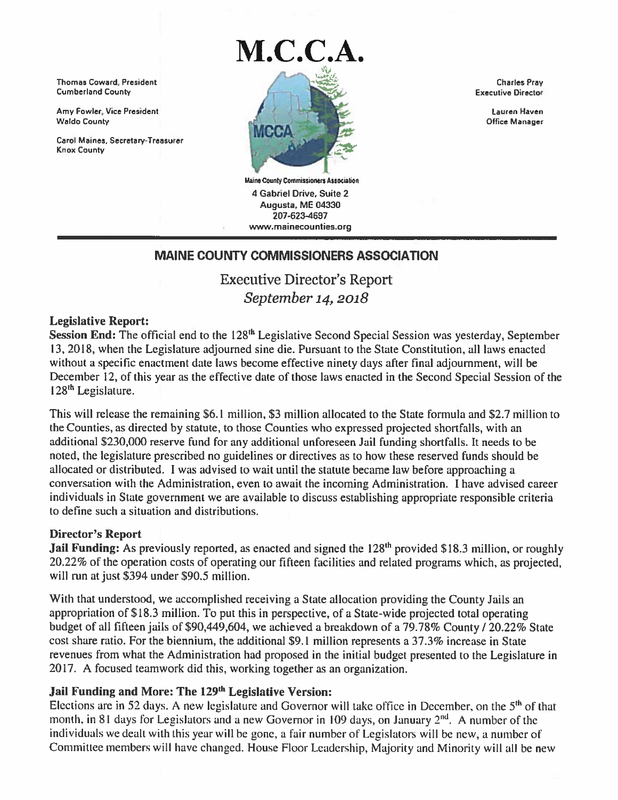**Thomas Coward, President Cumberland County** 

Amy Fowler, Vice President **Waldo County** 

Carol Maines, Secretary-Treasurer **Knox County** 



4 Gabriel Drive, Suite 2 Augusta, ME 04330 207-623-4697 www.mainecounties.org

**Charles Prav Executive Director** 

> Lauren Haven **Office Manager**

## **MAINE COUNTY COMMISSIONERS ASSOCIATION**

**Executive Director's Report** September 14, 2018

#### **Legislative Report:**

Session End: The official end to the 128<sup>th</sup> Legislative Second Special Session was vesterday, September 13, 2018, when the Legislature adjourned sine die. Pursuant to the State Constitution, all laws enacted without a specific enactment date laws become effective ninety days after final adjournment, will be December 12, of this year as the effective date of those laws enacted in the Second Special Session of the 128<sup>th</sup> Legislature.

This will release the remaining \$6.1 million, \$3 million allocated to the State formula and \$2.7 million to the Counties, as directed by statute, to those Counties who expressed projected shortfalls, with an additional \$230,000 reserve fund for any additional unforeseen Jail funding shortfalls. It needs to be noted, the legislature prescribed no guidelines or directives as to how these reserved funds should be allocated or distributed. I was advised to wait until the stature became law before approaching a conversation with the Administration, even to await the incoming Administration. I have advised career individuals in State government we are available to discuss establishing appropriate responsible criteria to define such a situation and distributions.

#### **Director's Report**

Jail Funding: As previously reported, as enacted and signed the 128<sup>th</sup> provided \$18.3 million, or roughly 20.22% of the operation costs of operating our fifteen facilities and related programs which, as projected, will run at just \$394 under \$90.5 million.

With that understood, we accomplished receiving a State allocation providing the County Jails an appropriation of \$18.3 million. To put this in perspective, of a State-wide projected total operating budget of all fifteen jails of \$90,449,604, we achieved a breakdown of a 79.78% County / 20.22% State cost share ratio. For the biennium, the additional \$9.1 million represents a 37.3% increase in State revenues from what the Administration had proposed in the initial budget presented to the Legislature in 2017. A focused teamwork did this, working together as an organization.

#### Jail Funding and More: The 129<sup>th</sup> Legislative Version:

Elections are in 52 days. A new legislature and Governor will take office in December, on the 5<sup>th</sup> of that month, in 81 days for Legislators and a new Governor in 109 days, on January 2<sup>nd</sup>. A number of the individuals we dealt with this year will be gone, a fair number of Legislators will be new, a number of Committee members will have changed. House Floor Leadership, Majority and Minority will all be new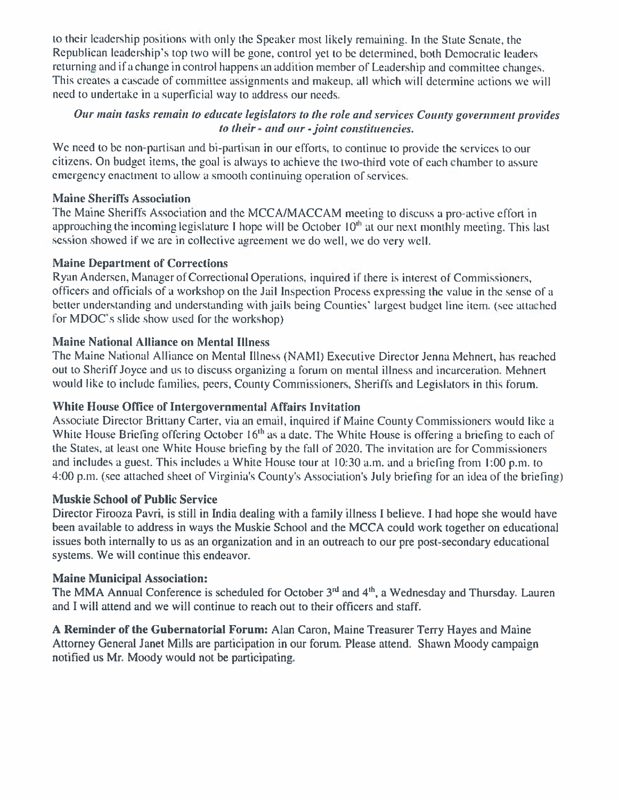to their leadership positions with only the Speaker most likely remaining. In the State Senate, the Republican leadership's top two will be gone, control yet to be determined, both Democratic leaders returning and if a change in control happens an addition member of Leadership and committee changes. This creates a cascade of committee assignments and makeup, all which will determine actions we will need to undertake in a superficial way to address our needs.

#### Our main tasks remain to educate legislators to the role and services County government provides to their - and our - joint constituencies.

We need to be non-partisan and bi-partisan in our efforts, to continue to provide the services to our citizens. On budget items, the goal is always to achieve the two-third vote of each chamber to assure emergency enactment to allow a smooth continuing operation of services.

#### **Maine Sheriffs Association**

The Maine Sheriffs Association and the MCCA/MACCAM meeting to discuss a pro-active effort in approaching the incoming legislature I hope will be October  $10<sup>th</sup>$  at our next monthly meeting. This last session showed if we are in collective agreement we do well, we do very well.

#### **Maine Department of Corrections**

Ryan Andersen, Manager of Correctional Operations, inquired if there is interest of Commissioners, officers and officials of a workshop on the Jail Inspection Process expressing the value in the sense of a better understanding and understanding with jails being Counties' largest budget line item, (see attached for MDOC's slide show used for the workshop)

#### **Maine National Alliance on Mental Illness**

The Maine National Alliance on Mental Illness (NAMI) Executive Director Jenna Mehnert, has reached out to Sheriff Joyce and us to discuss organizing a forum on mental illness and incarceration. Mehnert would like to include families, peers, County Commissioners, Sheriffs and Legislators in this forum.

#### White House Office of Intergovernmental Affairs Invitation

Associate Director Brittany Carter, via an email, inquired if Maine County Commissioners would like a White House Briefing offering October 16<sup>th</sup> as a date. The White House is offering a briefing to each of the States, at least one White House briefing by the fall of 2020. The invitation are for Commissioners and includes a guest. This includes a White House tour at 10:30 a.m. and a briefing from 1:00 p.m. to 4:00 p.m. (see attached sheet of Virginia's County's Association's July briefing for an idea of the briefing)

#### **Muskie School of Public Service**

Director Firooza Pavri, is still in India dealing with a family illness I believe. I had hope she would have been available to address in ways the Muskie School and the MCCA could work together on educational issues both internally to us as an organization and in an outreach to our pre post-secondary educational systems. We will continue this endeavor.

#### **Maine Municipal Association:**

The MMA Annual Conference is scheduled for October 3<sup>rd</sup> and 4<sup>th</sup>, a Wednesday and Thursday, Lauren and I will attend and we will continue to reach out to their officers and staff.

A Reminder of the Gubernatorial Forum: Alan Caron, Maine Treasurer Terry Hayes and Maine Attorney General Janet Mills are participation in our forum. Please attend. Shawn Moody campaign notified us Mr. Moody would not be participating.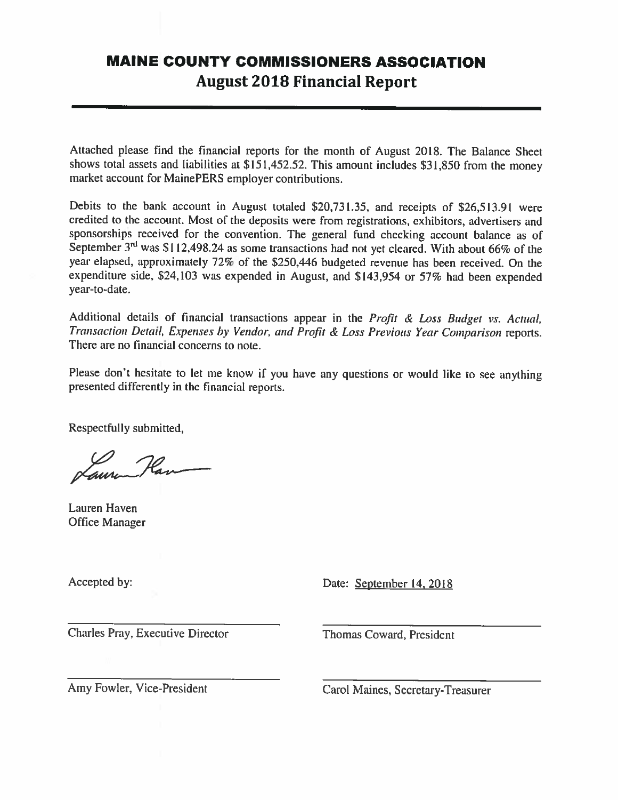# **MAINE COUNTY COMMISSIONERS ASSOCIATION August 2018 Financial Report**

Attached please find the financial reports for the month of August 2018. The Balance Sheet shows total assets and liabilities at \$151,452.52. This amount includes \$31,850 from the money market account for MainePERS employer contributions.

Debits to the bank account in August totaled \$20,731.35, and receipts of \$26,513.91 were credited to the account. Most of the deposits were from registrations, exhibitors, advertisers and sponsorships received for the convention. The general fund checking account balance as of September  $3<sup>rd</sup>$  was \$112,498.24 as some transactions had not yet cleared. With about 66% of the year elapsed, approximately 72% of the \$250,446 budgeted revenue has been received. On the expenditure side, \$24,103 was expended in August, and \$143,954 or 57% had been expended year-to-date.

Additional details of financial transactions appear in the Profit & Loss Budget vs. Actual, Transaction Detail, Expenses by Vendor, and Profit & Loss Previous Year Comparison reports. There are no financial concerns to note.

Please don't hesitate to let me know if you have any questions or would like to see anything presented differently in the financial reports.

Respectfully submitted,

Kuren Ham

Lauren Haven Office Manager

Accepted by:

Date: September 14, 2018

Charles Pray, Executive Director

Thomas Coward, President

Amy Fowler, Vice-President

Carol Maines, Secretary-Treasurer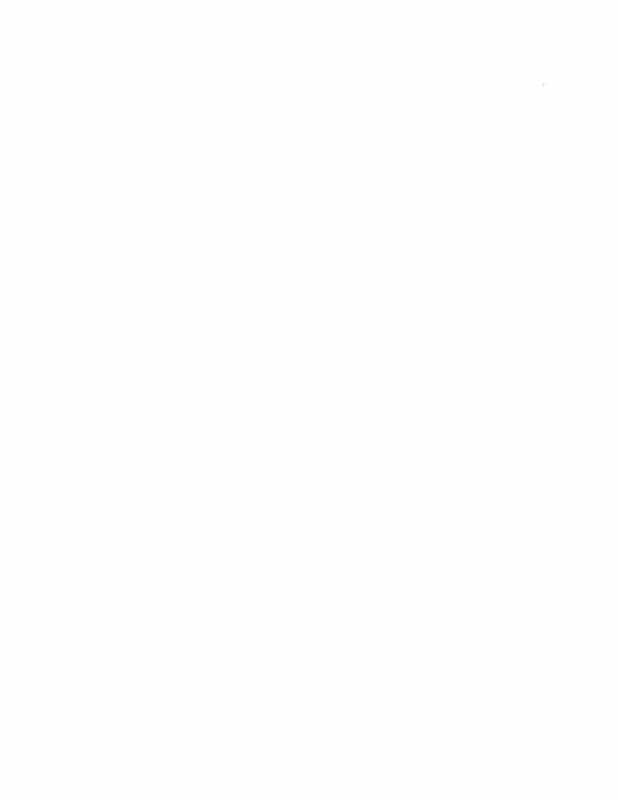$\sim 100$   $\mu$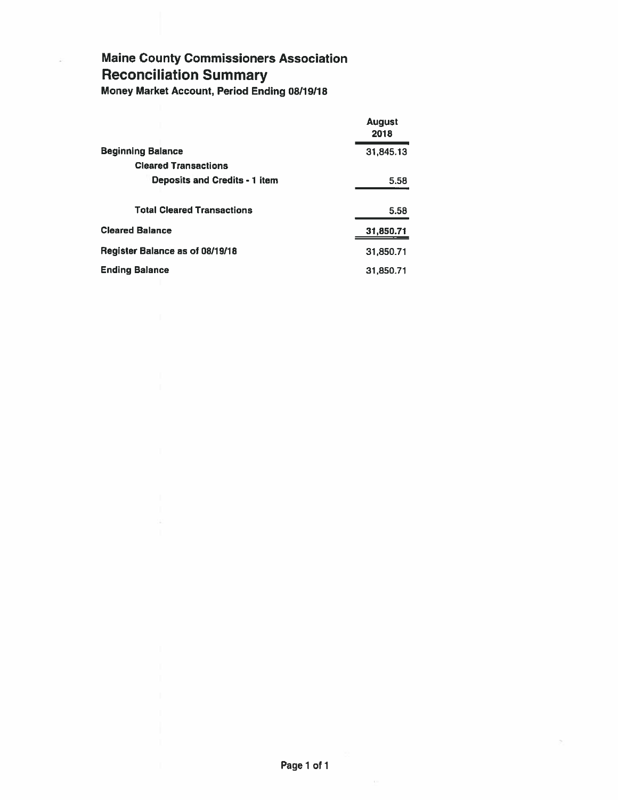## **Maine County Commissioners Association Reconciliation Summary**

Money Market Account, Period Ending 08/19/18

|                                      | <b>August</b><br>2018 |
|--------------------------------------|-----------------------|
| <b>Beginning Balance</b>             | 31,845.13             |
| <b>Cleared Transactions</b>          |                       |
| <b>Deposits and Credits - 1 item</b> | 5.58                  |
|                                      |                       |
| <b>Total Cleared Transactions</b>    | 5.58                  |
| <b>Cleared Balance</b>               | 31,850.71             |
| Register Balance as of 08/19/18      | 31,850.71             |
| <b>Ending Balance</b>                | 31.850.71             |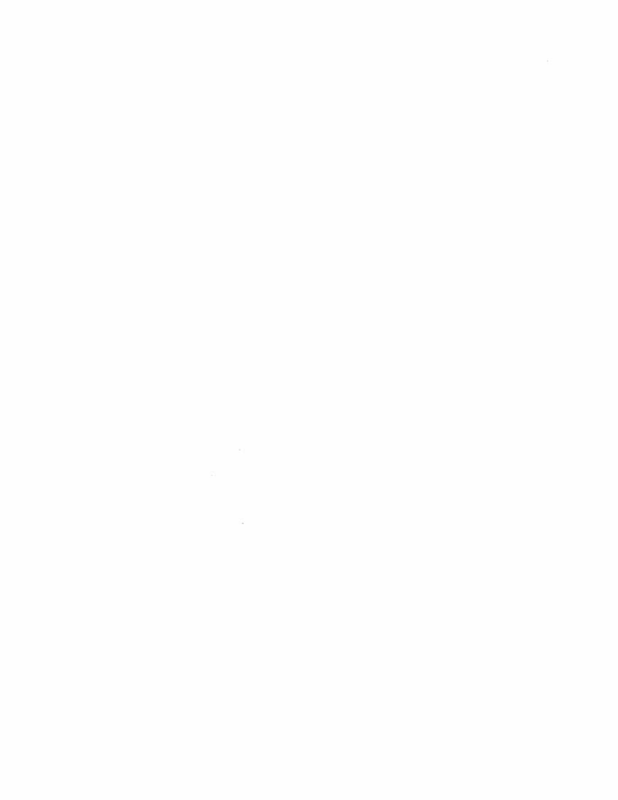$\frac{1}{1+\Delta^2} \sum_{i=1}^n \frac{1}{1+\Delta^2} \sum_{i=1}^n \frac{1}{1+\Delta^2} \sum_{i=1}^n \frac{1}{1+\Delta^2} \sum_{i=1}^n \frac{1}{1+\Delta^2} \sum_{i=1}^n \frac{1}{1+\Delta^2} \sum_{i=1}^n \frac{1}{1+\Delta^2} \sum_{i=1}^n \frac{1}{1+\Delta^2} \sum_{i=1}^n \frac{1}{1+\Delta^2} \sum_{i=1}^n \frac{1}{1+\Delta^2} \sum_{i=1}^n \frac{1}{1+\Delta^2} \sum_{i=1}^n$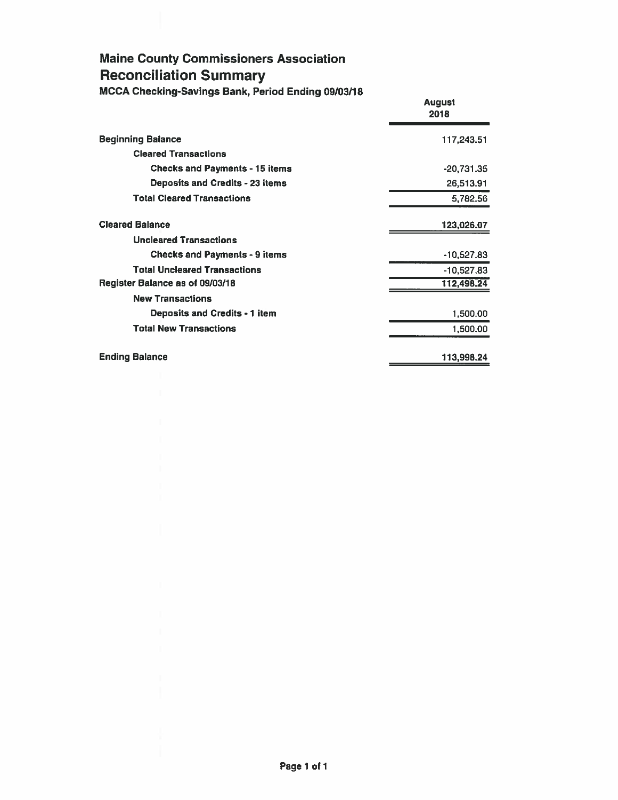# **Maine County Commissioners Association Reconciliation Summary**

MCCA Checking-Savings Bank, Period Ending 09/03/18

| moon oncening ouvings bank, I chou Ending varou to | <b>August</b><br>2018 |
|----------------------------------------------------|-----------------------|
| <b>Beginning Balance</b>                           | 117,243.51            |
| <b>Cleared Transactions</b>                        |                       |
| <b>Checks and Payments - 15 items</b>              | $-20,731.35$          |
| <b>Deposits and Credits - 23 items</b>             | 26,513.91             |
| <b>Total Cleared Transactions</b>                  | 5,782.56              |
| <b>Cleared Balance</b>                             | 123,026.07            |
| <b>Uncleared Transactions</b>                      |                       |
| <b>Checks and Payments - 9 items</b>               | $-10,527.83$          |
| <b>Total Uncleared Transactions</b>                | $-10,527.83$          |
| Register Balance as of 09/03/18                    | 112,498.24            |
| <b>New Transactions</b>                            |                       |
| <b>Deposits and Credits - 1 item</b>               | 1,500.00              |
| <b>Total New Transactions</b>                      | 1,500.00              |
| <b>Ending Balance</b>                              | 113,998.24            |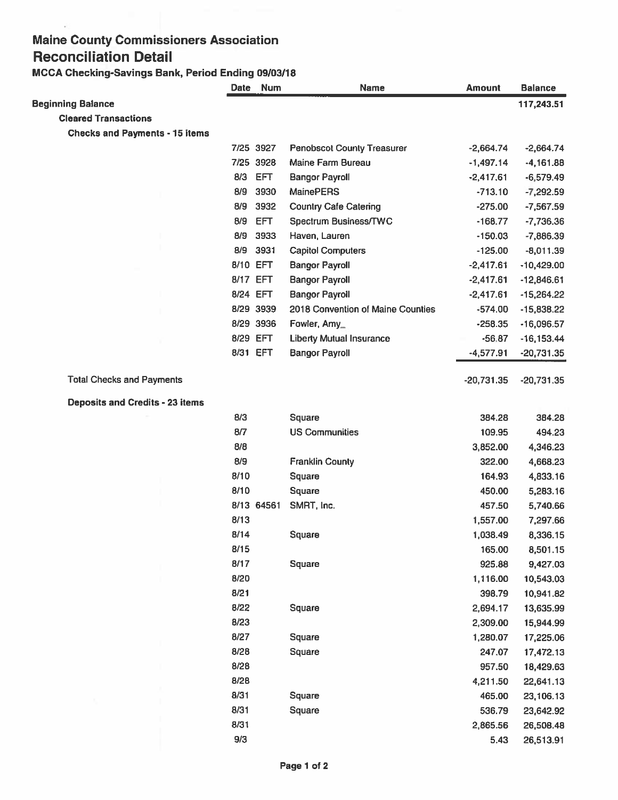# **Maine County Commissioners Association Reconciliation Detail**

## MCCA Checking-Savings Bank, Period Ending 09/03/18

|                                        | Date     | <b>Num</b> | <b>Name</b>                       | <b>Amount</b> | <b>Balance</b> |
|----------------------------------------|----------|------------|-----------------------------------|---------------|----------------|
| <b>Beginning Balance</b>               |          |            |                                   |               | 117,243.51     |
| <b>Cleared Transactions</b>            |          |            |                                   |               |                |
| <b>Checks and Payments - 15 items</b>  |          |            |                                   |               |                |
|                                        |          | 7/25 3927  | <b>Penobscot County Treasurer</b> | $-2,664.74$   | $-2,664.74$    |
|                                        |          | 7/25 3928  | Maine Farm Bureau                 | $-1,497.14$   | $-4,161.88$    |
|                                        | 8/3      | EFT.       | <b>Bangor Payroll</b>             | $-2,417.61$   | $-6,579.49$    |
|                                        | 8/9      | 3930       | <b>MainePERS</b>                  | $-713.10$     | $-7,292.59$    |
|                                        | 8/9      | 3932       | <b>Country Cafe Catering</b>      | $-275.00$     | $-7,567.59$    |
|                                        | 8/9      | <b>EFT</b> | Spectrum Business/TWC             | $-168.77$     | $-7,736.36$    |
|                                        | 8/9      | 3933       | Haven, Lauren                     | $-150.03$     | $-7,886.39$    |
|                                        | 8/9      | 3931       | <b>Capitol Computers</b>          | $-125.00$     | $-8,011.39$    |
|                                        | 8/10 EFT |            | <b>Bangor Payroll</b>             | $-2,417.61$   | $-10,429.00$   |
|                                        | 8/17 EFT |            | <b>Bangor Payroll</b>             | $-2,417.61$   | $-12,846.61$   |
|                                        | 8/24 EFT |            | <b>Bangor Payroll</b>             | $-2,417.61$   | $-15,264.22$   |
|                                        |          | 8/29 3939  | 2018 Convention of Maine Counties | $-574.00$     | $-15,838.22$   |
|                                        |          | 8/29 3936  | Fowler, Amy_                      | $-258.35$     | $-16,096.57$   |
|                                        | 8/29 EFT |            | <b>Liberty Mutual Insurance</b>   | $-56.87$      | $-16, 153.44$  |
|                                        | 8/31 EFT |            | <b>Bangor Payroll</b>             | $-4,577.91$   | $-20,731.35$   |
|                                        |          |            |                                   |               |                |
| <b>Total Checks and Payments</b>       |          |            |                                   | $-20,731.35$  | $-20,731.35$   |
| <b>Deposits and Credits - 23 items</b> |          |            |                                   |               |                |
|                                        | 8/3      |            | Square                            | 384.28        | 384.28         |
|                                        | 8/7      |            | <b>US Communities</b>             | 109.95        | 494.23         |
|                                        | 8/8      |            |                                   | 3,852.00      | 4,346.23       |
|                                        | 8/9      |            | <b>Franklin County</b>            | 322.00        | 4,668.23       |
|                                        | 8/10     |            | Square                            | 164.93        | 4,833.16       |
|                                        | 8/10     |            | Square                            | 450.00        | 5,283.16       |
|                                        |          | 8/13 64561 | SMRT, Inc.                        | 457.50        | 5,740.66       |
|                                        | 8/13     |            |                                   | 1,557.00      | 7,297.66       |
|                                        | 8/14     |            | Square                            | 1,038.49      | 8,336.15       |
|                                        | 8/15     |            |                                   | 165.00        | 8,501.15       |
|                                        | 8/17     |            | Square                            | 925.88        | 9,427.03       |
|                                        | 8/20     |            |                                   | 1,116.00      | 10,543.03      |
|                                        | 8/21     |            |                                   | 398.79        | 10,941.82      |
|                                        | 8/22     |            | Square                            | 2,694.17      | 13,635.99      |
|                                        | 8/23     |            |                                   | 2,309.00      | 15,944.99      |
|                                        | 8/27     |            | Square                            | 1,280.07      | 17,225.06      |
|                                        | 8/28     |            | Square                            | 247.07        | 17,472.13      |
|                                        | 8/28     |            |                                   | 957.50        | 18,429.63      |
|                                        | 8/28     |            |                                   | 4,211.50      | 22,641.13      |
|                                        | 8/31     |            | Square                            | 465.00        | 23,106.13      |
|                                        | 8/31     |            | Square                            | 536.79        | 23,642.92      |
|                                        | 8/31     |            |                                   | 2,865.56      | 26,508.48      |
|                                        | 9/3      |            |                                   | 5.43          | 26,513.91      |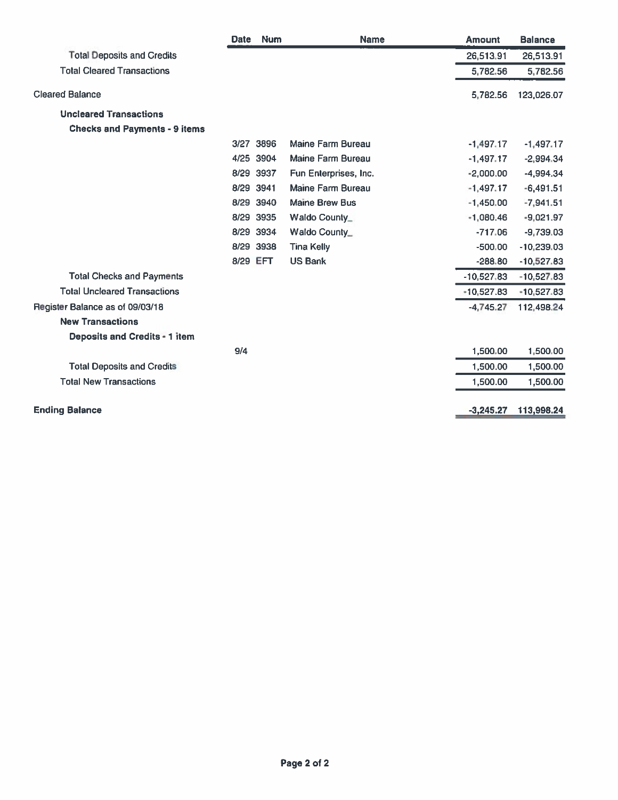|                                      |          | Date Num  | <b>Name</b>              | <b>Amount</b> | <b>Balance</b> |
|--------------------------------------|----------|-----------|--------------------------|---------------|----------------|
| <b>Total Deposits and Credits</b>    |          |           |                          | 26,513,91     | 26,513.91      |
| <b>Total Cleared Transactions</b>    |          |           |                          | 5,782.56      | 5,782.56       |
| <b>Cleared Balance</b>               |          |           |                          | 5,782.56      | 123,026.07     |
| <b>Uncleared Transactions</b>        |          |           |                          |               |                |
| <b>Checks and Payments - 9 items</b> |          |           |                          |               |                |
|                                      |          | 3/27 3896 | Maine Farm Bureau        | $-1,497.17$   | $-1,497.17$    |
|                                      |          | 4/25 3904 | <b>Maine Farm Bureau</b> | $-1,497.17$   | $-2,994.34$    |
|                                      |          | 8/29 3937 | Fun Enterprises, Inc.    | $-2,000.00$   | $-4,994.34$    |
|                                      |          | 8/29 3941 | Maine Farm Bureau        | $-1,497.17$   | $-6,491.51$    |
|                                      | 8/29     | 3940      | <b>Maine Brew Bus</b>    | $-1,450.00$   | $-7,941.51$    |
|                                      |          | 8/29 3935 | Waldo County_            | $-1,080.46$   | $-9,021.97$    |
|                                      |          | 8/29 3934 | Waldo County_            | $-717.06$     | $-9,739,03$    |
|                                      |          | 8/29 3938 | <b>Tina Kelly</b>        | $-500.00$     | $-10,239,03$   |
|                                      | 8/29 EFT |           | <b>US Bank</b>           | $-288.80$     | $-10,527.83$   |
| <b>Total Checks and Payments</b>     |          |           |                          | $-10,527,83$  | $-10,527.83$   |
| <b>Total Uncleared Transactions</b>  |          |           |                          | $-10,527.83$  | $-10,527.83$   |
| Register Balance as of 09/03/18      |          |           |                          | $-4,745.27$   | 112,498.24     |
| <b>New Transactions</b>              |          |           |                          |               |                |
| <b>Deposits and Credits - 1 item</b> |          |           |                          |               |                |
|                                      | 9/4      |           |                          | 1,500.00      | 1,500.00       |
| <b>Total Deposits and Credits</b>    |          |           |                          | 1,500.00      | 1,500.00       |
| <b>Total New Transactions</b>        |          |           |                          | 1,500.00      | 1,500.00       |
| <b>Ending Balance</b>                |          |           |                          | $-3,245.27$   | 113,998.24     |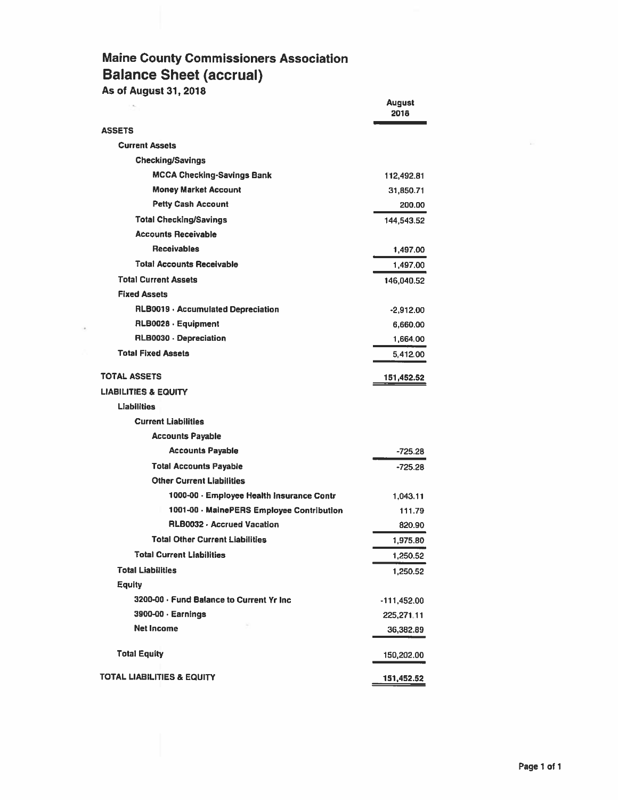# **Maine County Commissioners Association Balance Sheet (accrual)**

As of August 31, 2018

|                                           | August<br>2018 |
|-------------------------------------------|----------------|
| <b>ASSETS</b>                             |                |
| <b>Current Assets</b>                     |                |
| <b>Checking/Savings</b>                   |                |
| <b>MCCA Checking-Savings Bank</b>         | 112,492.81     |
| <b>Money Market Account</b>               | 31,850.71      |
| <b>Petty Cash Account</b>                 | 200.00         |
| <b>Total Checking/Savings</b>             | 144,543.52     |
| <b>Accounts Receivable</b>                |                |
| <b>Receivables</b>                        | 1,497.00       |
| <b>Total Accounts Receivable</b>          | 1,497.00       |
| <b>Total Current Assets</b>               | 146,040.52     |
| <b>Fixed Assets</b>                       |                |
| RLB0019 - Accumulated Depreciation        | $-2,912.00$    |
| RLB0028 · Equipment                       | 6,660.00       |
| RLB0030 Depreciation                      | 1,664.00       |
| <b>Total Fixed Assets</b>                 | 5,412.00       |
| <b>TOTAL ASSETS</b>                       | 151,452.52     |
| <b>LIABILITIES &amp; EQUITY</b>           |                |
| <b>Liabilities</b>                        |                |
| <b>Current Liabilities</b>                |                |
| <b>Accounts Payable</b>                   |                |
| <b>Accounts Payable</b>                   | -725.28        |
| <b>Total Accounts Payable</b>             | $-725.28$      |
| <b>Other Current Liabilities</b>          |                |
| 1000-00 - Employee Health Insurance Contr | 1,043.11       |
| 1001-00 - MainePERS Employee Contribution | 111.79         |
| RLB0032 - Accrued Vacation                | 820.90         |
| <b>Total Other Current Liabilities</b>    | 1,975.80       |
| <b>Total Current Liabilities</b>          | 1,250.52       |
| <b>Total Liabilities</b>                  | 1,250.52       |
| <b>Equity</b>                             |                |
| 3200-00 · Fund Balance to Current Yr Inc. | $-111,452.00$  |
| $3900-00 \cdot$ Earnings                  | 225,271.11     |
| <b>Net Income</b>                         | 36,382.89      |
| <b>Total Equity</b>                       | 150,202.00     |
| <b>TOTAL LIABILITIES &amp; EQUITY</b>     | 151,452.52     |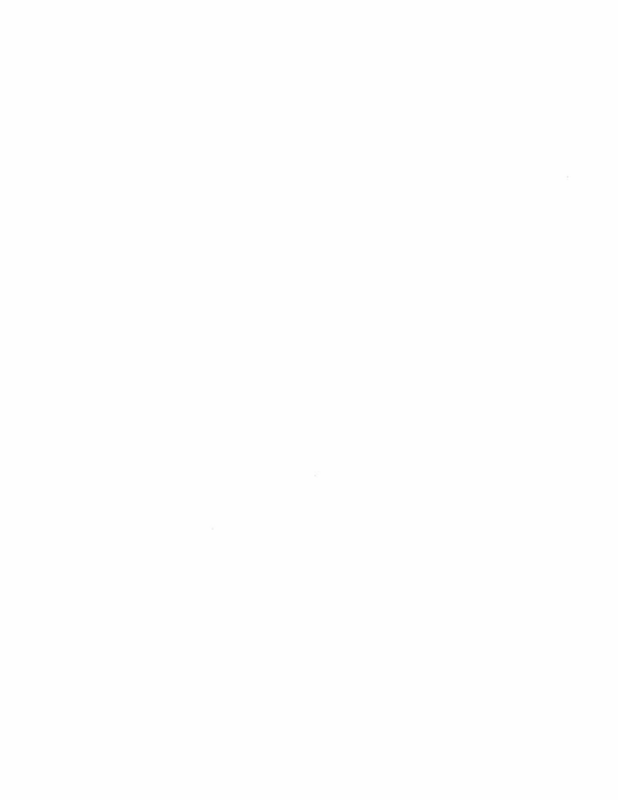$\label{eq:1.1} \frac{\partial f}{\partial t} \, \mathbf{r}$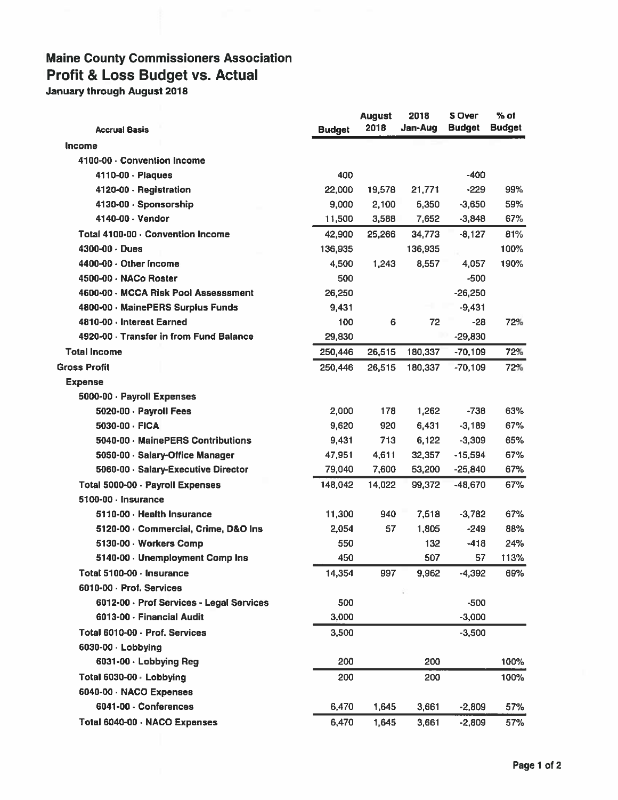# **Maine County Commissioners Association** Profit & Loss Budget vs. Actual

**January through August 2018** 

| <b>Accrual Basis</b>                     | <b>Budget</b> | <b>August</b><br>2018 | 2018<br>Jan-Aug | <b>S</b> Over<br><b>Budget</b> | $%$ of<br><b>Budget</b> |
|------------------------------------------|---------------|-----------------------|-----------------|--------------------------------|-------------------------|
| <b>Income</b>                            |               |                       |                 |                                |                         |
| 4100-00 · Convention Income              |               |                       |                 |                                |                         |
| $4110-00 \cdot$ Plaques                  | 400           |                       |                 | $-400$                         |                         |
| 4120-00 - Registration                   | 22,000        | 19,578                | 21,771          | $-229$                         | 99%                     |
| 4130-00 - Sponsorship                    | 9,000         | 2,100                 | 5,350           | $-3,650$                       | 59%                     |
| 4140-00 · Vendor                         | 11,500        | 3,588                 | 7,652           | $-3,848$                       | 67%                     |
| Total 4100-00 · Convention Income        | 42,900        | 25,266                | 34,773          | $-8,127$                       | 81%                     |
| $4300 - 00 \cdot Dues$                   | 136,935       |                       | 136,935         |                                | 100%                    |
| 4400-00 - Other Income                   | 4,500         | 1,243                 | 8,557           | 4,057                          | 190%                    |
| 4500-00 · NACo Roster                    | 500           |                       |                 | $-500$                         |                         |
| 4600-00 · MCCA Risk Pool Assesssment     | 26,250        |                       |                 | $-26,250$                      |                         |
| 4800-00 - MainePERS Surplus Funds        | 9,431         |                       |                 | $-9,431$                       |                         |
| 4810-00 - Interest Earned                | 100           | 6                     | 72              | $-28$                          | 72%                     |
| 4920-00 · Transfer in from Fund Balance  | 29,830        |                       |                 | $-29,830$                      |                         |
| <b>Total Income</b>                      | 250,446       | 26,515                | 180,337         | $-70,109$                      | 72%                     |
| <b>Gross Profit</b>                      | 250,446       | 26,515                | 180,337         | $-70,109$                      | 72%                     |
| <b>Expense</b>                           |               |                       |                 |                                |                         |
| 5000-00 · Payroll Expenses               |               |                       |                 |                                |                         |
| 5020-00 · Payroll Fees                   | 2,000         | 178                   | 1,262           | $-738$                         | 63%                     |
| 5030-00 - FICA                           | 9,620         | 920                   | 6,431           | $-3,189$                       | 67%                     |
| 5040-00 · MainePERS Contributions        | 9,431         | 713                   | 6,122           | $-3,309$                       | 65%                     |
| 5050-00 · Salary-Office Manager          | 47,951        | 4,611                 | 32,357          | $-15,594$                      | 67%                     |
| 5060-00 · Salary-Executive Director      | 79,040        | 7,600                 | 53,200          | $-25,840$                      | 67%                     |
| Total 5000-00 - Payroll Expenses         | 148,042       | 14,022                | 99,372          | $-48,670$                      | 67%                     |
| $5100-00$ $\cdot$ Insurance              |               |                       |                 |                                |                         |
| 5110-00 · Health Insurance               | 11,300        | 940                   | 7,518           | $-3,782$                       | 67%                     |
| 5120-00 Commercial, Crime, D&O Ins       | 2,054         | 57                    | 1,805           | $-249$                         | 88%                     |
| 5130-00 - Workers Comp                   | 550           |                       | 132             | $-418$                         | 24%                     |
| 5140-00 · Unemployment Comp ins          | 450           |                       | 507             | 57                             | 113%                    |
| Total 5100-00 · Insurance                | 14,354        | 997                   | 9,962           | $-4,392$                       | 69%                     |
| 6010-00 - Prof. Services                 |               |                       |                 |                                |                         |
| 6012-00 · Prof Services - Legal Services | 500           |                       |                 | $-500$                         |                         |
| 6013-00 - Financial Audit                | 3,000         |                       |                 | $-3,000$                       |                         |
| Total 6010-00 - Prof. Services           | 3,500         |                       |                 | $-3,500$                       |                         |
| 6030-00 - Lobbying                       |               |                       |                 |                                |                         |
| 6031-00 - Lobbying Reg                   | 200           |                       | 200             |                                | 100%                    |
| Total 6030-00 - Lobbying                 | 200           |                       | 200             |                                | 100%                    |
| 6040-00 - NACO Expenses                  |               |                       |                 |                                |                         |
| 6041-00 - Conferences                    | 6,470         | 1,645                 | 3,661           | $-2,809$                       | 57%                     |
| Total 6040-00 · NACO Expenses            | 6,470         | 1,645                 | 3,661           | $-2,809$                       | 57%                     |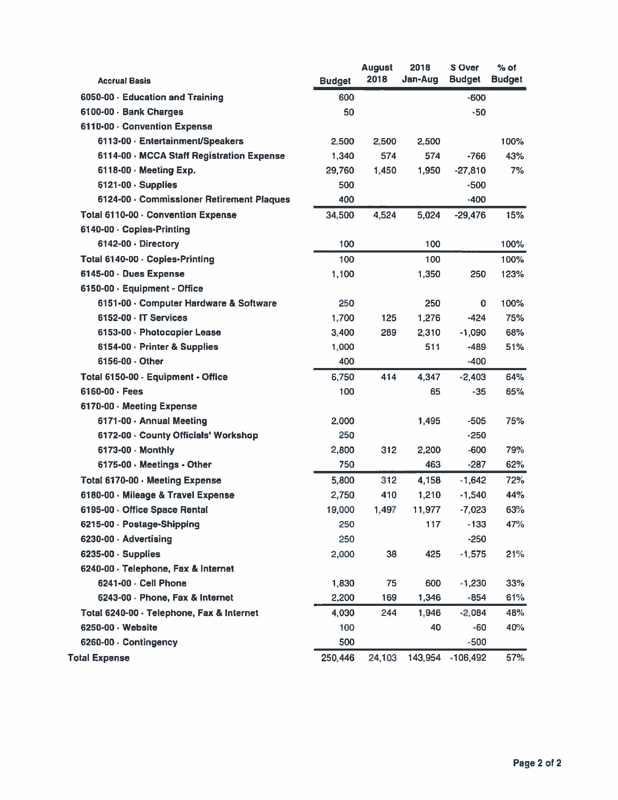| <b>Accrual Basis</b>                      | <b>Budget</b> | <b>August</b><br>2018 | 2018<br>Jan-Aug | <b>S</b> Over<br><b>Budget</b> | % of<br><b>Budget</b> |
|-------------------------------------------|---------------|-----------------------|-----------------|--------------------------------|-----------------------|
| 6050-00 · Education and Training          | 600           |                       |                 | $-600$                         |                       |
| 6100-00 - Bank Charges                    | 50            |                       |                 | $-50$                          |                       |
| 6110-00 Convention Expense                |               |                       |                 |                                |                       |
| 6113-00 Entertainment/Speakers            | 2,500         | 2,500                 | 2,500           |                                | 100%                  |
| 6114-00 - MCCA Staff Registration Expense | 1,340         | 574                   | 574             | $-766$                         | 43%                   |
| 6118-00 Meeting Exp.                      | 29,760        | 1,450                 | 1,950           | $-27,810$                      | 7%                    |
| 6121-00 · Supplies                        | 500           |                       |                 | $-500$                         |                       |
| 6124-00 · Commissioner Retirement Plaques | 400           |                       |                 | $-400$                         |                       |
| <b>Total 6110-00 - Convention Expense</b> | 34,500        | 4,524                 | 5,024           | $-29,476$                      | 15%                   |
| 6140-00 · Copies-Printing                 |               |                       |                 |                                |                       |
| 6142-00 Directory                         | 100           |                       | 100             |                                | 100%                  |
| Total 6140-00 - Copies-Printing           | 100           |                       | 100             |                                | 100%                  |
| 6145-00 Dues Expense                      | 1,100         |                       | 1,350           | 250                            | 123%                  |
| 6150-00 · Equipment - Office              |               |                       |                 |                                |                       |
| 6151-00 - Computer Hardware & Software    | 250           |                       | 250             | 0                              | 100%                  |
| 6152-00 IT Services                       | 1,700         | 125                   | 1.276           | $-424$                         | 75%                   |
| 6153-00 Photocopier Lease                 | 3,400         | 289                   | 2,310           | $-1,090$                       | 68%                   |
| 6154-00 - Printer & Supplies              | 1,000         |                       | 511             | $-489$                         | 51%                   |
| 6156-00 · Other                           | 400           |                       |                 | $-400$                         |                       |
| Total 6150-00 - Equipment - Office        | 6,750         | 414                   | 4,347           | $-2,403$                       | 64%                   |
| $6160-00 \cdot \text{Fees}$               | 100           |                       | 65              | $-35$                          | 65%                   |
| 6170-00 - Meeting Expense                 |               |                       |                 |                                |                       |
| 6171-00 - Annual Meeting                  | 2,000         |                       | 1,495           | $-505$                         | 75%                   |
| 6172-00 - County Officials' Workshop      | 250           |                       |                 | $-250$                         |                       |
| 6173-00 Monthly                           | 2,800         | 312                   | 2,200           | $-600$                         | 79%                   |
| 6175-00 - Meetings - Other                | 750           |                       | 463             | $-287$                         | 62%                   |
| Total 6170-00 - Meeting Expense           | 5,800         | 312                   | 4,158           | $-1,642$                       | 72%                   |
| 6180-00 - Mileage & Travel Expense        | 2,750         | 410                   | 1,210           | $-1,540$                       | 44%                   |
| 6195-00 - Office Space Rental             | 19,000        | 1,497                 | 11,977          | $-7,023$                       | 63%                   |
| 6215-00 - Postage-Shipping                | 250           |                       | 117             | $-133$                         | 47%                   |
| 6230-00 - Advertising                     | 250           |                       |                 | $-250$                         |                       |
| 6235-00 · Supplies                        | 2,000         | 38                    | 425             | $-1,575$                       | 21%                   |
| 6240-00 Telephone, Fax & Internet         |               |                       |                 |                                |                       |
| 6241-00 - Cell Phone                      | 1,830         | 75                    | 600             | $-1,230$                       | 33%                   |
| 6243-00 - Phone, Fax & Internet           | 2,200         | 169                   | 1,346           | $-854$                         | 61%                   |
| Total 6240-00 - Telephone, Fax & Internet | 4,030         | 244                   | 1,946           | $-2,084$                       | 48%                   |
| 6250-00 · Website                         | 100           |                       | 40              | $-60$                          | 40%                   |
| 6260-00 Contingency                       | 500           |                       |                 | $-500$                         |                       |
| <b>Total Expense</b>                      | 250,446       | 24,103                | 143,954         | $-106,492$                     | 57%                   |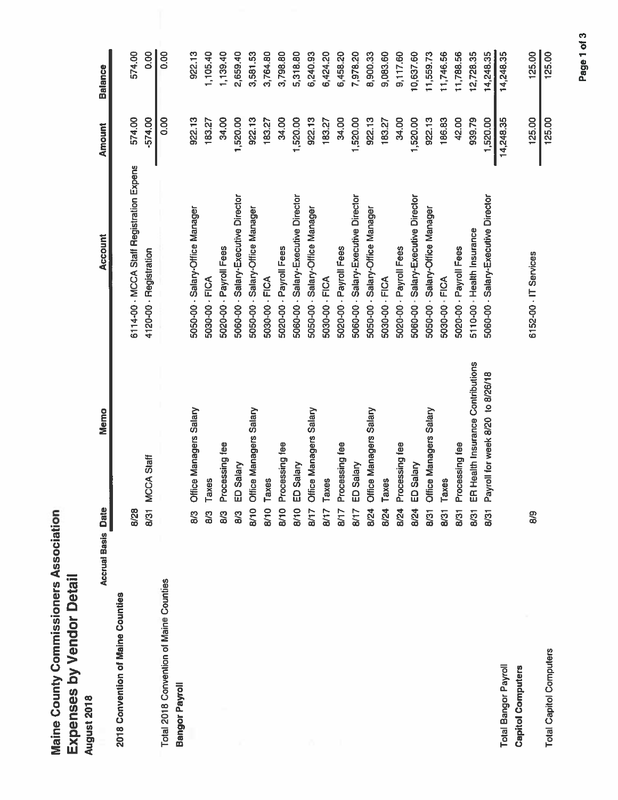| <b>Expenses by Vendor Detail</b><br>ugust 2018 | <b>Maine County Commissioners Association</b> |  |
|------------------------------------------------|-----------------------------------------------|--|
|                                                |                                               |  |

| ugust 2018                              |                                               |                                          |           |                |
|-----------------------------------------|-----------------------------------------------|------------------------------------------|-----------|----------------|
| <b>Accrual Basis</b>                    | Memo<br>Date                                  | Account                                  | Amount    | <b>Balance</b> |
| 2018 Convention of Maine Counties       |                                               |                                          |           |                |
|                                         | 8/28                                          | 6114-00 - MCCA Staff Registration Expens | 574.00    | 574.00         |
|                                         | <b>MCCA Staff</b><br>8/31                     | 4120-00 - Registration                   | $-574.00$ | 0.00           |
| Total 2018 Convention of Maine Counties |                                               |                                          | 0.00      | 0.00           |
| Bangor Payrol                           |                                               |                                          |           |                |
|                                         | Office Managers Salary<br><u>ន</u>            | 5050-00 · Salary-Office Manager          | 922.13    | 922.13         |
|                                         | Taxes<br>S3                                   | 5030-00 - FICA                           | 183.27    | 1,105.40       |
|                                         | Processing fee<br>83                          | 5020-00 - Payroll Fees                   | 34.00     | 1,139.40       |
|                                         | ED Salary<br>$\mathbb{S}^2$                   | 5060-00 - Salary-Executive Director      | 1,520.00  | 2,659.40       |
|                                         | Office Managers Salary<br>8/10                | 5050-00 · Salary-Office Manager          | 922.13    | 3,581.53       |
|                                         | Taxes<br>8/10                                 | 5030-00 - FICA                           | 183.27    | 3,764.80       |
|                                         | Processing fee<br>8/10                        | 5020-00 - Payroll Fees                   | 34.00     | 3,798.80       |
|                                         | ED Salary<br>8/10                             | 5060-00 - Salary-Executive Director      | 1,520.00  | 5,318.80       |
|                                         | Office Managers Salary<br><b>B/17</b>         | 5050-00 · Salary-Office Manager          | 922.13    | 6,240.93       |
|                                         | Taxes<br>8/17                                 | 5030-00 - FICA                           | 183.27    | 6,424.20       |
|                                         | Processing fee<br>8/17                        | 5020-00 - Payroll Fees                   | 34.00     | 6,458.20       |
|                                         | ED Salary<br>8/17                             | 5060-00 - Salary-Executive Director      | 1,520.00  | 7,978.20       |
|                                         | <b>Diffice Managers Salary</b><br><b>B/24</b> | 5050-00 · Salary-Office Manager          | 922.13    | 8,900.33       |
|                                         | Taxes<br>8/24                                 | 5030-00 - FICA                           | 183.27    | 9,083.60       |
|                                         | Processing fee<br><b>B/24</b>                 | 5020-00 - Payroll Fees                   | 34.00     | 9,117.60       |
|                                         | ED Salary<br>8/24                             | 5060-00 - Salary-Executive Director      | 1,520.00  | 10,637.60      |
|                                         | <b>Office Managers Salary</b><br>8/31         | 5050-00 · Salary-Office Manager          | 922.13    | 11,559.73      |
|                                         | Taxes<br>8/31                                 | 5030-00 - FICA                           | 186.83    | 11,746.56      |
|                                         | Processing fee<br>8/31                        | 5020-00 - Payroll Fees                   | 42.00     | 11,788.56      |
|                                         | ER Health Insurance Contributions<br>8/31     | 5110-00 - Health Insurance               | 939.79    | 12,728.35      |
|                                         | Payroll for week 8/20 to 8/26/18<br>8/31      | 5060-00 - Salary-Executive Director      | 1,520.00  | 14,248.35      |
| <b>Total Bangor Payroll</b>             |                                               |                                          | 14,248.35 | 14,248.35      |
| <b>Capitol Computers</b>                |                                               |                                          |           |                |
|                                         | 8/9                                           | 6152-00 - IT Services                    | 125.00    | 125.00         |
| <b>Total Capitol Computers</b>          |                                               |                                          | 125.00    | 125.00         |

Page 1 of 3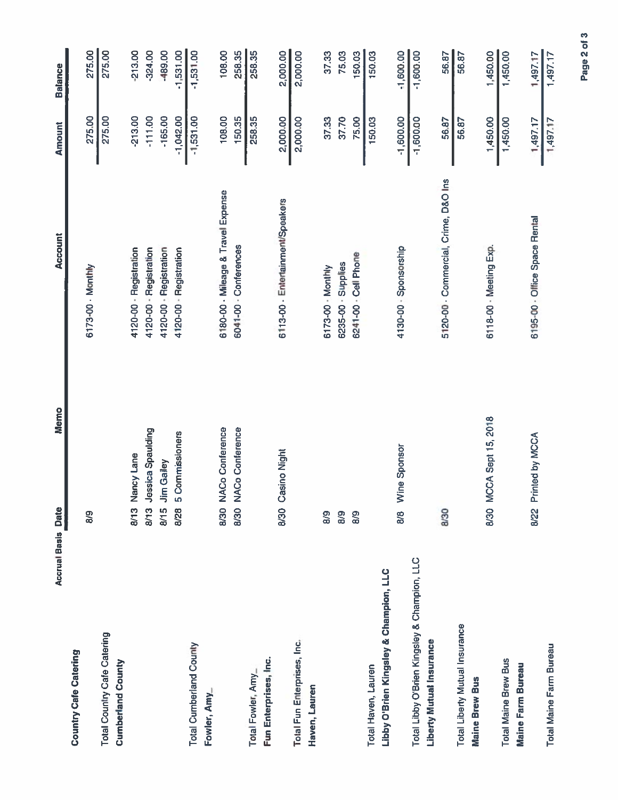| <b>Accrual Basis Date</b>                   | <b>Memo</b>                    | Account                              | Amount      | <b>Balance</b> |
|---------------------------------------------|--------------------------------|--------------------------------------|-------------|----------------|
| <b>bountry Cafe Catering</b>                |                                |                                      |             |                |
|                                             | 8/8                            | 6173-00 Monthly                      | 275.00      | 275.00         |
| otal Country Cafe Catering                  |                                |                                      | 275.00      | 275.00         |
| umberland County                            |                                |                                      |             |                |
|                                             | <b>Vancy Lane</b><br>8/13      | 4120-00 - Registration               | $-213.00$   | $-213.00$      |
|                                             | Jessica Spaulding<br>8/13      | 4120-00 - Registration               | $-111.00$   | $-324.00$      |
|                                             | Jim Gailey<br>8/15             | 4120-00 - Registration               | $-165.00$   | -489.00        |
|                                             | 5 Commissioners<br>8/28        | 4120-00 - Registration               | $-1,042.00$ | $-1,531.00$    |
| otal Cumberland County                      |                                |                                      | $-1,531.00$ | $-1,531.00$    |
| owler, Amy                                  |                                |                                      |             |                |
|                                             | <b>VACo Conference</b><br>8/30 | 6180-00 - Mileage & Travel Expense   | 108.00      | 108.00         |
|                                             | <b>NACo Conference</b><br>8/30 | 6041-00 - Conferences                | 150.35      | 258.35         |
| otal Fowler, Amy_                           |                                |                                      | 258.35      | 258.35         |
| un Enterprises, Inc.                        |                                |                                      |             |                |
|                                             | Casino Night<br><b>B/30</b>    | 6113-00 - Entertainment/Speakers     | 2,000.00    | 2,000.00       |
| otal Fun Enterprises, Inc.                  |                                |                                      | 2,000.00    | 2,000.00       |
| laven, Lauren                               |                                |                                      |             |                |
|                                             | 8/9                            | 6173-00 - Monthly                    | 37.33       | 37.33          |
|                                             | 8/9                            | 6235-00 - Supplies                   | 37.70       | 75.03          |
|                                             | 8/9                            | 6241-00 - Cell Phone                 | 75.00       | 150.03         |
| otal Haven, Lauren                          |                                |                                      | 150.03      | 150.03         |
| ibby O'Brien Kingsley & Champion, LLC       |                                |                                      |             |                |
|                                             | Wine Sponsor<br>8/8            | 4130-00 - Sponsorship                | $-1,600.00$ | $-1,600.00$    |
| otal Libby O'Brien Kingsley & Champion, LLC |                                |                                      | $-1,600.00$ | $-1,600.00$    |
| iberty Mutual Insurance                     |                                |                                      |             |                |
|                                             | 8/30                           | 5120-00 - Commercial, Crime, D&O Ins | 56.87       | 56.87          |
| otal Liberty Mutual Insurance               |                                |                                      | 56.87       | 56.87          |
| laine Brew Bus                              |                                |                                      |             |                |
|                                             | MCCA Sept 15, 2018<br>8/30     | 6118-00 - Meeting Exp.               | 1,450.00    | 1,450.00       |
| otal Maine Brew Bus                         |                                |                                      | 1,450.00    | 1,450.00       |
| laine Farm Bureau                           |                                |                                      |             |                |
|                                             | Printed by MCCA<br><b>B/22</b> | 6195-00 - Office Space Rental        | 1,497.17    | 1,497.17       |
| otal Maine Farm Bureau                      |                                |                                      | 1,497.17    | 1,497.17       |
|                                             |                                |                                      |             |                |

Page 2 of 3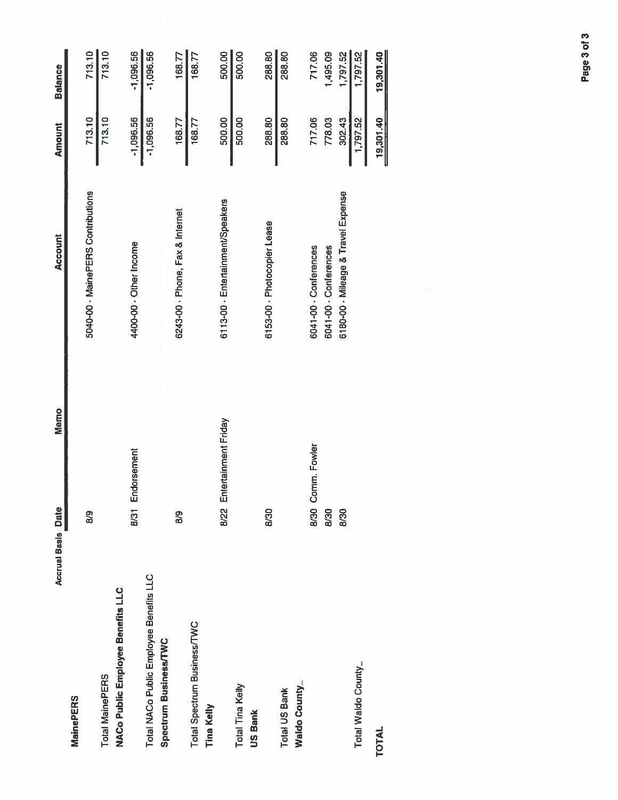|                                         | Accrual Basis Date |                      | Memo                 | Account                            | Amount      | <b>Balance</b> |
|-----------------------------------------|--------------------|----------------------|----------------------|------------------------------------|-------------|----------------|
| <b>MainePERS</b>                        |                    |                      |                      |                                    |             |                |
|                                         |                    | සි                   |                      | 5040-00 - MainePERS Contributions  | 713.10      | 713.10         |
| <b>Total MainePERS</b>                  |                    |                      |                      |                                    | 713.10      | 713.10         |
| NACo Public Employee Benefits LLC       |                    |                      |                      |                                    |             |                |
|                                         |                    | Endorsement<br>8/31  |                      | 4400-00 - Other Income             | $-1,096.56$ | $-1,096.56$    |
| Total NACo Public Employee Benefits LLC |                    |                      |                      |                                    | $-1,096.56$ | $-1,096.56$    |
| Spectrum Business/TWC                   |                    |                      |                      |                                    |             |                |
|                                         |                    | 8/9                  |                      | 6243-00 - Phone, Fax & Internet    | 168.77      | 168.77         |
| Total Spectrum Business/TWC             |                    |                      |                      |                                    | 168.77      | 168.77         |
| <b>Tina Kelly</b>                       |                    |                      |                      |                                    |             |                |
|                                         |                    | 8/22                 | Entertainment Friday | 6113-00 - Entertainment/Speakers   | 500.00      | 500.00         |
| Total Tina Kelly                        |                    |                      |                      |                                    | 500.00      | 500.00         |
| <b>US Bank</b>                          |                    |                      |                      |                                    |             |                |
|                                         |                    | 8/30                 |                      | 6153-00 - Photocopier Lease        | 288.80      | 288.80         |
| <b>Total US Bank</b>                    |                    |                      |                      |                                    | 288.80      | 288.80         |
| <b>Waldo County</b>                     |                    |                      |                      |                                    |             |                |
|                                         |                    | Comm. Fowler<br>8/30 |                      | 6041-00 - Conferences              | 717.06      | 717.06         |
|                                         |                    | 8/30                 |                      | 6041-00 - Conferences              | 778.03      | 1,495.09       |
|                                         |                    | 8/30                 |                      | 6180-00 - Mileage & Travel Expense | 302.43      | 1,797.52       |
| Total Waldo County_                     |                    |                      |                      |                                    | 1,797.52    | 1,797.52       |
| <b>OTAL</b>                             |                    |                      |                      |                                    | 19,301.40   | 19,301.40      |

Page 3 of 3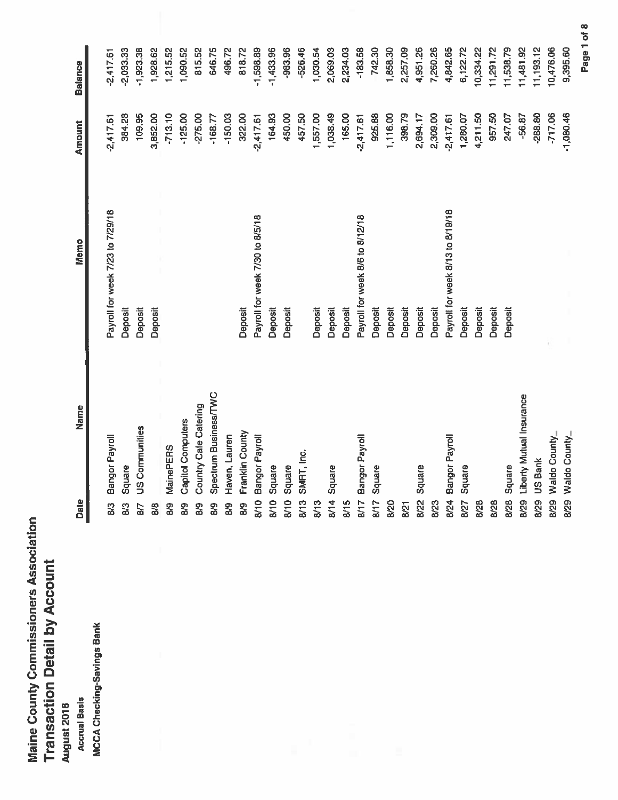| August 2018                       |                |                          |                                  |               |                |
|-----------------------------------|----------------|--------------------------|----------------------------------|---------------|----------------|
| <b>Accrual Basis</b>              | Date           | Name                     | Memo                             | <b>Amount</b> | <b>Balance</b> |
| <b>MCCA Checking-Savings Bank</b> |                |                          |                                  |               |                |
|                                   | 8/3            | Bangor Payroll           | Payroll for week 7/23 to 7/29/18 | $-2,417.61$   | $-2,417.61$    |
|                                   | 8/3            | Square                   | Deposit                          | 384.28        | $-2,033.33$    |
|                                   | B <sub>7</sub> | <b>US Communities</b>    | Deposit                          | 109.95        | $-1,923.38$    |
|                                   | 8/8            |                          | Deposit                          | 3,852.00      | 1,928.62       |
|                                   | B/9            | MainePERS                |                                  | $-713.10$     | 1,215.52       |
|                                   | 8/9            | Capitol Computers        |                                  | $-125.00$     | 1,090.52       |
|                                   | 8/9            | Country Cafe Catering    |                                  | $-275.00$     | 815.52         |
|                                   | 8/9            | Spectrum Business/TWC    |                                  | $-168.77$     | 646.75         |
|                                   | 8/9            | Haven, Lauren            |                                  | $-150.03$     | 496.72         |
|                                   | 8/9            | Franklin County          | Deposit                          | 322.00        | 818.72         |
|                                   | 8/10           | Bangor Payroll           | Payroll for week 7/30 to 8/5/18  | $-2,417.61$   | $-1,598.89$    |
|                                   | 8/10           | Square                   | Deposit                          | 164.93        | $-1,433.96$    |
|                                   | 8/10           | Square                   | Deposit                          | 450.00        | -983.96        |
|                                   | 8/13           | SMRT, Inc.               |                                  | 457.50        | $-526.46$      |
|                                   | 8/13           |                          | Deposit                          | 1,557.00      | 1,030.54       |
|                                   | 8/14           | Square                   | Deposit                          | 1,038.49      | 2,069.03       |
|                                   | 8/15           |                          | Deposit                          | 165.00        | 2,234.03       |
|                                   | B/17           | Bangor Payroll           | Payroll for week 8/6 to 8/12/18  | $-2,417.61$   | $-183.58$      |
|                                   | <b>B/17</b>    | Square                   | Deposit                          | 925.88        | 742.30         |
|                                   | 8/20           |                          | Deposit                          | 1,116.00      | 1,858.30       |
|                                   | 8/21           |                          | Deposit                          | 398.79        | 2,257.09       |
|                                   | 8/22           | Square                   | Deposit                          | 2,694.17      | 4,951.26       |
|                                   | 8/23           |                          | Deposit                          | 2,309.00      | 7,260.26       |
|                                   | <b>B/24</b>    | Bangor Payroll           | Payroll for week 8/13 to 8/19/18 | $-2,417.61$   | 4,842.65       |
|                                   | 8/27           | Square                   | Deposit                          | 1,280.07      | 6,122.72       |
|                                   | 8/28           |                          | Deposit                          | 4,211.50      | 10,334.22      |
|                                   | 8/28           |                          | Deposit                          | 957.50        | 11,291.72      |
|                                   | 8/28           | Square                   | Deposit                          | 247.07        | 11,538.79      |
|                                   | 8/29           | Liberty Mutual Insurance |                                  | $-56.87$      | 11,481.92      |
|                                   | 8/29           | <b>US Bank</b>           |                                  | $-288.80$     | 11,193.12      |
|                                   | 8/8            | Waldo County_            |                                  | -717.06       | 10,476.06      |
|                                   | 8/29           | <b>Waldo County</b>      |                                  | $-1,080.46$   | 9,395.60       |
|                                   |                |                          |                                  |               | Page 1 of 8    |

# Maine County Commissioners Association **Transaction Detail by Account**

**Board** J.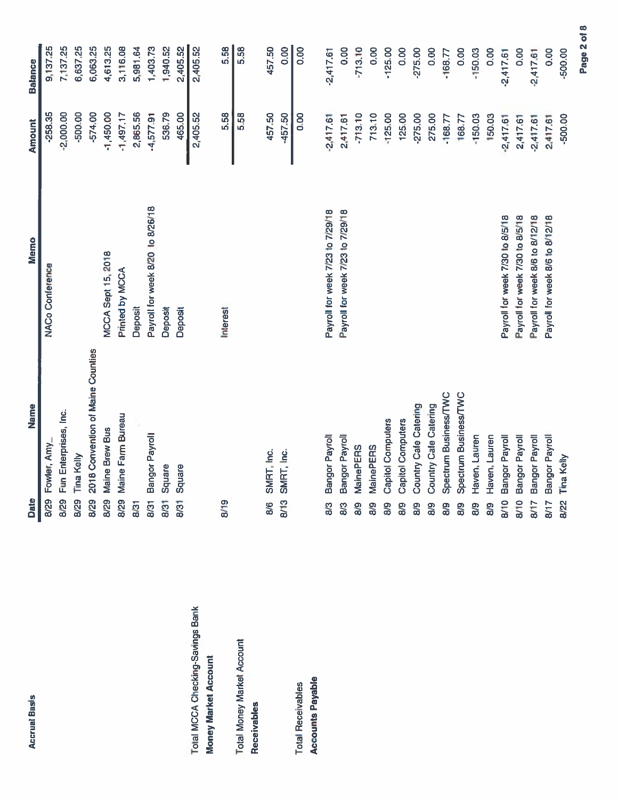| Accrual Basis                     | Date        | <b>Name</b>                       | Memo                             | Amount      | Balance     |
|-----------------------------------|-------------|-----------------------------------|----------------------------------|-------------|-------------|
|                                   | 8/29        | Fowler, Amy                       | NACo Conterence                  | $-258.35$   | 9,137.25    |
|                                   | 8/29        | Enterprises, Inc.<br>Eun          |                                  | $-2,000,00$ | 7,137.25    |
|                                   | 8/29        | Tina Kelly                        |                                  | $-500.00$   | 6,637.25    |
|                                   | 8/29        | 2018 Convention of Maine Counties |                                  | $-574.00$   | 6,063.25    |
|                                   | 8/29        | <b>Maine Brew Bus</b>             | MCCA Sept 15, 2018               | $-1,450.00$ | 4,613.25    |
|                                   | 8/29        | le Farm Bureau<br><b>Main</b>     | Printed by MCCA                  | $-1,497.17$ | 3,116.08    |
|                                   | 8/31        |                                   | Deposit                          | 2,865.56    | 5,981.64    |
|                                   | 8/31        | Bangor Payroll                    | Payroll for week 8/20 to 8/26/18 | $-4,577.91$ | 1,403.73    |
|                                   | 8/31        | Square                            | Deposit                          | 536.79      | 1,940.52    |
|                                   | <b>B/31</b> | Square                            | Deposit                          | 465.00      | 2,405.52    |
| Total MCCA Checking-Savings Bank  |             |                                   |                                  | 2,405.52    | 2,405.52    |
| <b>Money Market Account</b>       |             |                                   |                                  |             |             |
|                                   | 8/19        |                                   | Interest                         | 5.58        | 5.58        |
| <b>Total Money Market Account</b> |             |                                   |                                  | 5.58        | 5.58        |
| Receivables                       |             |                                   |                                  |             |             |
|                                   | 8/6         | SMRT, Inc.                        |                                  | 457.50      | 457.50      |
|                                   | 8/13        | SMRT, Inc.                        |                                  | -457.50     | 0.00        |
| <b>Total Receivables</b>          |             |                                   |                                  | ooo         | 0.00        |
| <b>Accounts Payable</b>           |             |                                   |                                  |             |             |
|                                   | 8/3         | Bangor Payroll                    | Payroll for week 7/23 to 7/29/18 | $-2,417.61$ | $-2,417.61$ |
|                                   | 8/3         | Bangor Payroll                    | Payroll for week 7/23 to 7/29/18 | 2,417.61    | 0.00        |
|                                   | 8/8         | MainePERS                         |                                  | $-713.10$   | $-713.10$   |
|                                   | 8/9         | MainePERS                         |                                  | 713.10      | 0.00        |
|                                   | 8/8         | Capitol Computers                 |                                  | $-125.00$   | $-125.00$   |
|                                   | 8/9         | Capitol Computers                 |                                  | 125.00      | 0.00        |
|                                   | 8/8         | Country Cafe Catering             |                                  | $-275.00$   | $-275.00$   |
|                                   | 8/9         | Country Cale Catering             |                                  | 275.00      | 0.00        |
|                                   | 8/9         | Spectrum Business/TWC             |                                  | $-168.77$   | $-168.77$   |
|                                   | 8/9         | Spectrum Business/TWC             |                                  | 168.77      | 0.00        |
|                                   | 8/9         | Haven, Lauren                     |                                  | $-150.03$   | $-150.03$   |
|                                   | 8/9         | Haven, Lauren                     |                                  | 150.03      | 0.00        |
|                                   | B/10        | <b>Bangor Payroll</b>             | Payroll for week 7/30 to 8/5/18  | $-2,417.61$ | $-2,417.61$ |
|                                   | 8/10        | Bangor Payroll                    | Payroll for week 7/30 to 8/5/18  | 2,417.61    | 0.00        |
|                                   | 8/17        | Bangor Payroll                    | Payroll for week 8/6 to 8/12/18  | $-2,417.61$ | $-2,417.61$ |
|                                   | 8/17        | Bangor Payroll                    | Payroll for week 8/6 to 8/12/18  | 2,417.61    | 0.00        |
|                                   | <b>B/22</b> | Kelly<br>Tina                     |                                  | $-500,000$  | $-500.00$   |
|                                   |             |                                   |                                  |             | Page 2 of 8 |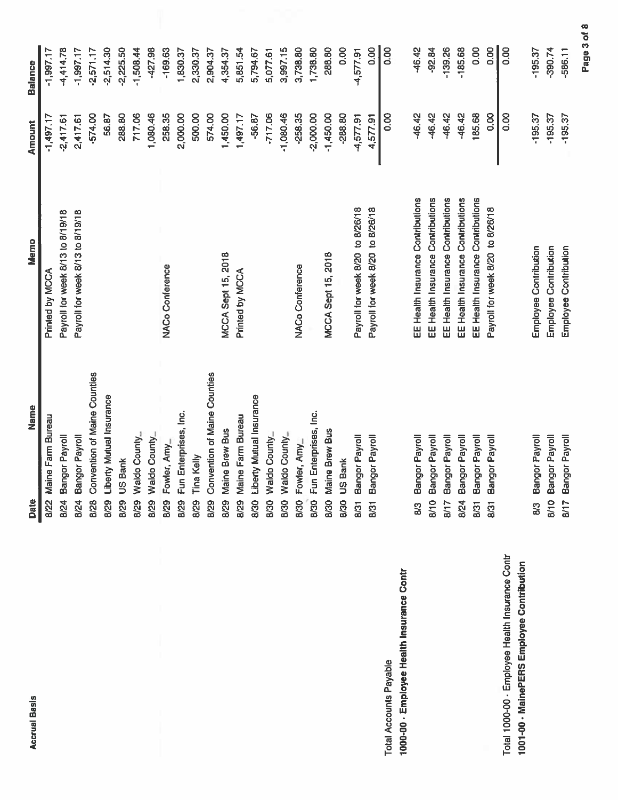| Accrual Basis                                                                                | Name<br>Date                                | Memo                              | <b>Amount</b> | Balance     |  |
|----------------------------------------------------------------------------------------------|---------------------------------------------|-----------------------------------|---------------|-------------|--|
|                                                                                              | Maine Farm Bureau<br>8/22                   | Printed by MCCA                   | $-1,497.17$   | $-1,997.17$ |  |
|                                                                                              | Bangor Payroll<br>8/24                      | Payroll for week 8/13 to 8/19/18  | $-2,417.61$   | $-4,414.78$ |  |
|                                                                                              | Bangor Payroll<br>8/24                      | Payroll for week 8/13 to 8/19/18  | 2,417.61      | $-1,997.17$ |  |
|                                                                                              | Convention of Maine Counties<br>8/28        |                                   | $-574.00$     | $-2,571.17$ |  |
|                                                                                              | Liberty Mutual Insurance<br>8/29            |                                   | 56.87         | $-2,514.30$ |  |
|                                                                                              | <b>US Bank</b><br>8/29                      |                                   | 288.80        | $-2,225.50$ |  |
|                                                                                              | Waldo County_<br>8/29                       |                                   | 717.06        | $-1,508.44$ |  |
|                                                                                              | Waldo County_<br>8/29                       |                                   | 1,080.46      | $-427.98$   |  |
|                                                                                              | Fowler, Amy_<br><b>B/29</b>                 | <b>NACo Conference</b>            | 258.35        | $-169.63$   |  |
|                                                                                              | Fun Enterprises, Inc.<br><b>B/29</b>        |                                   | 2,000.00      | 1,830.37    |  |
|                                                                                              | Tina Kelly<br>8/29                          |                                   | 500.00        | 2,330.37    |  |
|                                                                                              | <b>Convention of Maine Counties</b><br>8/29 |                                   | 574.00        | 2,904.37    |  |
|                                                                                              | Maine Brew Bus<br>8/29                      | MCCA Sept 15, 2018                | 1,450.00      | 4,354.37    |  |
|                                                                                              | <b>Maine Farm Bureau</b><br>8/29            | Printed by MCCA                   | 1,497.17      | 5,851.54    |  |
|                                                                                              | Liberty Mutual Insurance<br>8/30            |                                   | $-56.87$      | 5,794.67    |  |
|                                                                                              | Waldo County_<br>8/30                       |                                   | $-717.06$     | 5,077.61    |  |
|                                                                                              | Waldo County_<br><b>B/30</b>                |                                   | $-1,080,46$   | 3,997.15    |  |
|                                                                                              | Fowler, Amy<br>8/30                         | <b>NACo Conference</b>            | $-258.35$     | 3,738.80    |  |
|                                                                                              | Fun Enterprises, Inc.<br><b>B/30</b>        |                                   | $-2,000.00$   | 1,738.80    |  |
|                                                                                              | Maine Brew Bus<br>8/30                      | MCCA Sept 15, 2018                | $-1,450.00$   | 288.80      |  |
|                                                                                              | <b>US Bank</b><br>8/30                      |                                   | $-288.80$     | 0.00        |  |
|                                                                                              | Bangor Payroll<br>8/31                      | Payroll for week 8/20 to 8/26/18  | -4,577.91     | 4,577.91    |  |
|                                                                                              | Bangor Payroll<br>8/31                      | Payroll for week 8/20 to 8/26/18  | 4,577.91      | 0.00        |  |
| <b>Total Accounts Payable</b>                                                                |                                             |                                   | 0.00          | 0.00        |  |
| 1000-00 - Employee Health Insurance Contr                                                    |                                             |                                   |               |             |  |
|                                                                                              | <b>Bangor Payroll</b><br>8/3                | EE Health Insurance Contributions | $-46.42$      | $-46.42$    |  |
|                                                                                              | Bangor Payroll<br>8/10                      | EE Health Insurance Contributions | $-46.42$      | $-92.84$    |  |
|                                                                                              | Bangor Payroll<br>8/17                      | EE Health Insurance Contributions | $-46.42$      | $-139.26$   |  |
|                                                                                              | Bangor Payroll<br><b>B/24</b>               | EE Health Insurance Contributions | -46.42        | $-185.68$   |  |
|                                                                                              | Bangor Payroll<br>8/31                      | EE Health Insurance Contributions | 185.68        | 0.00        |  |
|                                                                                              | Bangor Payroll<br>8/31                      | Payroll for week 8/20 to 8/26/18  | 0.00          | 0.00        |  |
| Total 1000-00 - Employee Health Insurance Contr<br>1001-00 - MainePERS Employee Contribution |                                             |                                   | <b>80.00</b>  | 0.00        |  |
|                                                                                              | Bangor Payroll<br>8/3                       | <b>Employee Contribution</b>      | $-195.37$     | $-195.37$   |  |
|                                                                                              | Bangor Payroll<br>8/10                      | Employee Contribution             | $-195.37$     | $-390.74$   |  |
|                                                                                              | Bangor Payroll<br>8/17                      | <b>Employee Contribution</b>      | $-195.37$     | $-586.11$   |  |
|                                                                                              |                                             |                                   |               | Page 3 of 8 |  |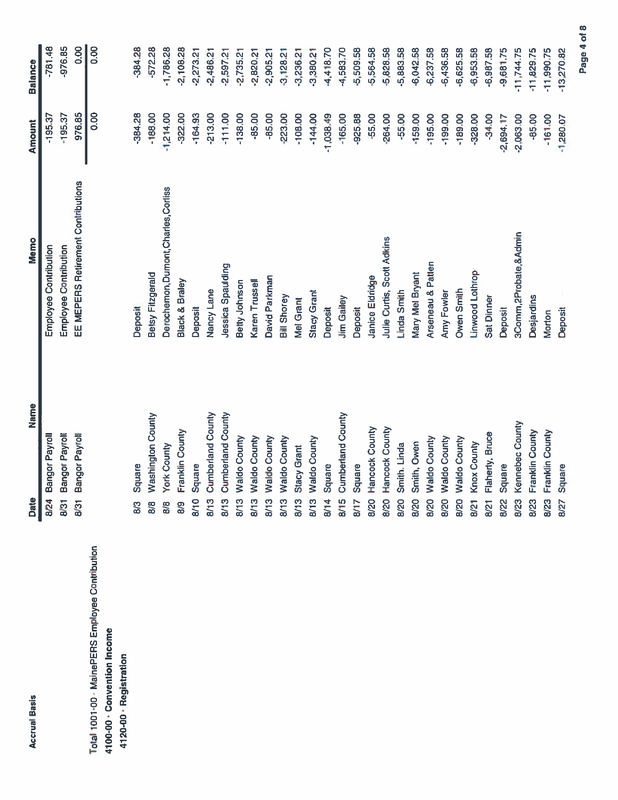| <b>Accrual Basis</b>                            | <b>Name</b><br>Date                  | Memo                                 | Amount      | <b>Balance</b> |
|-------------------------------------------------|--------------------------------------|--------------------------------------|-------------|----------------|
|                                                 | Bangor Payroll<br><b>B/24</b>        | Employee Contribution                | $-195.37$   | $-781.48$      |
|                                                 | Bangor Payroll<br>8/31               | Employee Contribution                | $-195.37$   | -976.85        |
|                                                 | <b>Bangor Payroll</b><br>8/31        | EE MEPERS Retirement Contributions   | 976.85      | 0.00           |
| Total 1001-00 - MainePERS Employee Contribution |                                      |                                      | 0.00        | 0.00           |
| 4100-00 · Convention Income                     |                                      |                                      |             |                |
| 4120-00 - Registration                          | Square<br>S <sub>3</sub>             | Deposit                              | -384.28     | $-384.28$      |
|                                                 | Washington County<br>88              | Betsy Fitzgerald                     | $-188.00$   | $-572.28$      |
|                                                 | <b>York County</b><br>8/8            | Derochemon, Dumont, Charles, Corliss | $-1,214.00$ | $-1,786.28$    |
|                                                 | Franklin County<br>8/9               | Black & Braley                       | $-322.00$   | $-2,108.28$    |
|                                                 | Square<br>8/10                       | Deposit                              | $-164.93$   | $-2,273.21$    |
|                                                 | Cumberland County<br>8/13            | Nancy Lane                           | $-213.00$   | $-2,486.21$    |
|                                                 | Cumberland County<br>8/13            | Jessica Spaulding                    | $-111,00$   | $-2,597.21$    |
|                                                 | <b>Waldo County</b><br>8/13          | Betty Johnson                        | $-138,00$   | $-2,735.21$    |
|                                                 | <b>Waldo County</b><br>$\frac{9}{2}$ | Karen Trussell                       | $-85.00$    | $-2,820.21$    |
|                                                 | Waldo County<br>8/13                 | David Parkman                        | $-85.00$    | $-2,905.21$    |
|                                                 | <b>Waldo County</b><br>8/13          | <b>Bill Shorey</b>                   | $-223.00$   | $-3,128.21$    |
|                                                 | Stacy Grant<br>8/13                  | Mel Grant                            | $-108.00$   | $-3,236.21$    |
|                                                 | <b>Waldo County</b><br><b>B/13</b>   | <b>Stacy Grant</b>                   | $-144.00$   | $-3,380.21$    |
|                                                 | Square<br>8/14                       | Deposit                              | $-1,038.49$ | $-4,418.70$    |
|                                                 | <b>Cumberland County</b><br>8/15     | <b>Jim Gailey</b>                    | $-165.00$   | $-4,583.70$    |
|                                                 | Square<br>8/17                       | Deposit                              | $-925,88$   | -5,509.58      |
|                                                 | Hancock County<br>8/20               | Janice Eldridge                      | $-55.00$    | 5,564.58       |
|                                                 | Hancock County<br>8/20               | Julie Curtis, Scott Adkins           | $-264.00$   | $-5,828.58$    |
|                                                 | Smith, Linda<br>8/20                 | Linda Smith                          | $-55.00$    | -5,883.58      |
|                                                 | Smith, Owen<br>8/20                  | Mary Mel Bryant                      | $-159.00$   | 6,042.58       |
|                                                 | <b>Waldo County</b><br>8/20          | Arseneau & Patten                    | $-195.00$   | -6,237.58      |
|                                                 | <b>Waldo County</b><br>8/20          | Amy Fowler                           | $-199,00$   | $-6,436.58$    |
|                                                 | <b>Waldo County</b><br>8/20          | Owen Smith                           | $-189.00$   | $-6,625.58$    |
|                                                 | Knox County<br>8/21                  | Linwood Lothrop                      | $-328.00$   | $-6,953.58$    |
|                                                 | Flaherty, Bruce<br>8/21              | Sat Dinner                           | $-34.00$    | -6,987.58      |
|                                                 | Square<br>8/22                       | Deposit                              | $-2,694.17$ | $-9,681.75$    |
|                                                 | Kennebec County<br>8/23              | 3Comm, 2Probate, & Admin             | $-2,063,00$ | $-11,744.75$   |
|                                                 | Franklin County<br>8/23              | Desjardins                           | $-85,00$    | $-11,829.75$   |
|                                                 | Franklin County<br>8/23              | Morton                               | $-161.00$   | $-11,990,75$   |
|                                                 | Square<br>8/27                       | Deposit                              | $-1,280.07$ | $-13,270,82$   |
|                                                 |                                      |                                      |             |                |

Page 4 of 8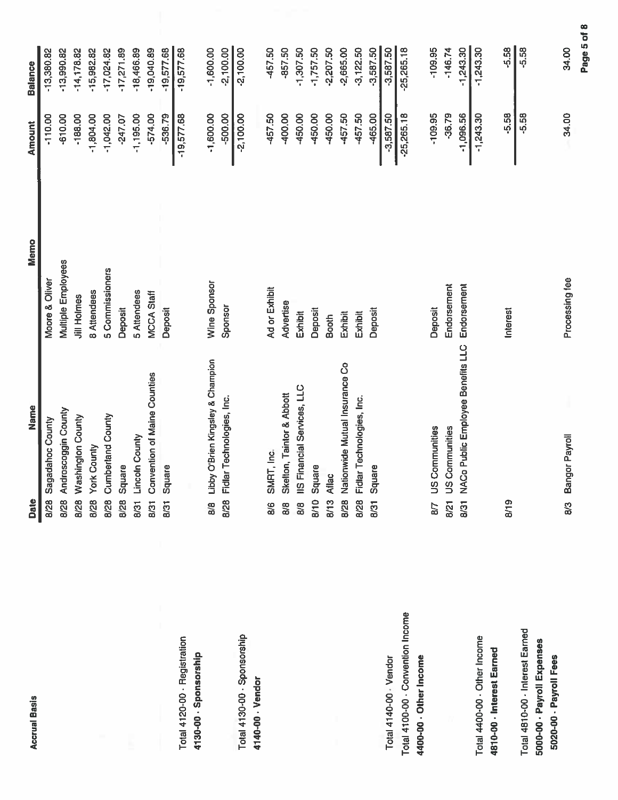| <b>Accrual Basis</b>              | Date                       | Name                                | Memo               | <b>Amount</b> | <b>Balance</b> |
|-----------------------------------|----------------------------|-------------------------------------|--------------------|---------------|----------------|
|                                   | 8/28                       | Sagadahoc County                    | Moore & Oliver     | $-110.00$     | $-13,380.82$   |
|                                   | 8/28                       | Androscoggin County                 | Multiple Employees | $-610.00$     | $-13,990.82$   |
|                                   | 8/28                       | Washington County                   | Jill Holmes        | $-188.00$     | $-14,178.82$   |
|                                   | <b>York County</b><br>8/28 |                                     | 8 Attendees        | $-1,804.00$   | $-15,982.82$   |
|                                   | 8/28                       | Cumberland County                   | 5 Commissioners    | $-1,042.00$   | $-17,024.82$   |
|                                   | Square<br>8/28             |                                     | Deposit            | $-247.07$     | $-17,271.89$   |
|                                   | 8/31                       | <b>Lincoln County</b>               | 5 Attendees        | $-1,195.00$   | $-18,466.89$   |
|                                   | <b>B/31</b>                | <b>Convention of Maine Counties</b> | <b>MCCA Staff</b>  | $-574.00$     | $-19,040.89$   |
|                                   | Square<br>8/31             |                                     | Deposit            | -536.79       | $-19,577.68$   |
| Total 4120-00 - Registration      |                            |                                     |                    | $-19,577.68$  | $-19,577.68$   |
| 4130-00 · Sponsorship             |                            |                                     |                    |               |                |
|                                   | 8/8                        | Libby O'Brien Kingsley & Champion   | Wine Sponsor       | $-1,600.00$   | $-1,600.00$    |
|                                   | 8/28                       | Fidlar Technologies, Inc.           | Sponsor            | $-500.00$     | $-2,100.00$    |
| Total 4130-00 - Sponsorship       |                            |                                     |                    | $-2,100.00$   | $-2,100.00$    |
| 4140-00 · Vendor                  |                            |                                     |                    |               |                |
|                                   | SMRT, Inc.<br>8/6          |                                     | Ad or Exhibit      | -457.50       | -457.50        |
|                                   | 8/8                        | Skelton, Taintor & Abbott           | Advertise          | -400.00       | -857.50        |
|                                   | 8/8                        | IIS Financial Services, LLC         | Exhibit            | 450.00        | $-1,307.50$    |
|                                   | Square<br>8/10             |                                     | Deposit            | -450.00       | $-1,757.50$    |
|                                   | <b>Aflac</b><br>8/13       |                                     | <b>Booth</b>       | 450.00        | $-2,207.50$    |
|                                   | 8/28                       | Nationwide Mutual Insurance Co      | Exhibit            | -457.50       | $-2,665.00$    |
|                                   | 8/28                       | Fidlar Technologies, Inc.           | Exhibit            | $-457.50$     | $-3,122.50$    |
|                                   | Square<br>8/31             |                                     | Deposit            | -465.00       | $-3,587.50$    |
| Total 4140-00 - Vendor            |                            |                                     |                    | $-3,587.50$   | $-3,587.50$    |
| Total 4100-00 - Convention Income |                            |                                     |                    | $-25,265,18$  | $-25,265,18$   |
| 4400-00 · Other Income            |                            |                                     |                    |               |                |
|                                   | <b>B/7</b>                 | US Communities                      | Deposit            | $-109.95$     | $-109.95$      |
|                                   | 8/21                       | <b>US Communities</b>               | Endorsement        | $-36.79$      | $-146.74$      |
|                                   | 8/31                       | NACo Public Employee Benefits LLC   | Endorsement        | $-1,096.56$   | $-1,243.30$    |
| Total 4400-00 - Other Income      |                            |                                     |                    | $-1,243.30$   | $-1,243.30$    |
| 4810-00 - Interest Earned         |                            |                                     |                    |               |                |
|                                   | 8/19                       |                                     | Interest           | $-5.58$       | $-5.58$        |
| Total 4810-00 - Interest Earned   |                            |                                     |                    | $-5.58$       | $-5.58$        |
| 5000-00 - Payroll Expenses        |                            |                                     |                    |               |                |
| 5020-00 - Payroll Fees            |                            |                                     |                    |               |                |
|                                   | 8/3                        | <b>Bangor Payroll</b>               | Processing fee     | 34.00         | 34.00          |
|                                   |                            |                                     |                    |               | Page 5 of 8    |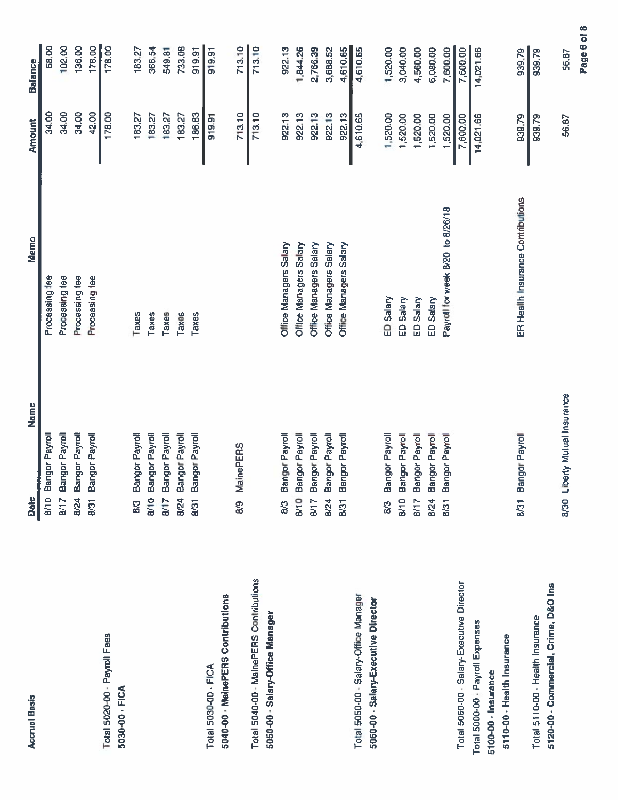| Accrual Basis                             | Date                    | Name                          | Memo                              | <b>Amount</b> | Balance     |
|-------------------------------------------|-------------------------|-------------------------------|-----------------------------------|---------------|-------------|
|                                           | 8/10                    | Bangor Payroll                | Processing fee                    | 34.00         | 68.00       |
|                                           | 8/17                    | Bangor Payroll                | Processing fee                    | 34.00         | 102.00      |
|                                           | 8/24                    | Bangor Payroll                | Processing fee                    | 34.00         | 136.00      |
|                                           | 8/31                    | Bangor Payroll                | Processing fee                    | 42.00         | 178.00      |
| Total 5020-00 - Payroll Fees              |                         |                               |                                   | 178.00        | 178.00      |
| 5030-00 - FICA                            |                         |                               |                                   |               |             |
|                                           | 8/3                     | Bangor Payroll                | Taxes                             | 183.27        | 183,27      |
|                                           | 8/10                    | <b>Bangor Payroll</b>         | Taxes                             | 183.27        | 366.54      |
|                                           | 8/17                    | Bangor Payroll                | Taxes                             | 183.27        | 549.81      |
|                                           | <b>B/24</b>             | Bangor Payroll                | Taxes                             | 183.27        | 733.08      |
|                                           | 8/31                    | Bangor Payroll                | Taxes                             | 186.83        | 919.91      |
| Total 5030-00 - FICA                      |                         |                               |                                   | 919.91        | 919.91      |
| 5040-00 MainePERS Contributions           |                         |                               |                                   |               |             |
|                                           | <b>MainePERS</b><br>8/9 |                               |                                   | 713.10        | 713.10      |
| Total 5040-00 MainePERS Contributions     |                         |                               |                                   | 713.10        | 713.10      |
| 5050-00 · Salary-Office Manager           |                         |                               |                                   |               |             |
|                                           | 8/3                     | Bangor Payroll                | Office Managers Salary            | 922.13        | 922.13      |
|                                           | 8/10                    | Bangor Payroll                | Office Managers Salary            | 922.13        | 1,844.26    |
|                                           | 8/17                    | Bangor Payroll                | Office Managers Salary            | 922.13        | 2,766.39    |
|                                           | 8/24                    | Bangor Payroll                | Office Managers Salary            | 922.13        | 3,688.52    |
|                                           | 8/31                    | Bangor Payroll                | Office Managers Salary            | 922.13        | 4,610.65    |
| Total 5050-00 - Salary-Office Manager     |                         |                               |                                   | 4,610.65      | 4,610.65    |
| 5060-00 · Salary-Executive Director       |                         |                               |                                   |               |             |
|                                           | 8/3                     | Bangor Payroll                | ED Salary                         | 1,520.00      | 1,520.00    |
|                                           | 8/10                    | Bangor Payroll                | ED Salary                         | 1,520.00      | 3,040.00    |
|                                           | 8/17                    | Bangor Payroll                | ED Salary                         | 1,520.00      | 4,560.00    |
|                                           | 8/24                    | Bangor Payroll                | ED Salary                         | 1,520.00      | 6,080.00    |
|                                           | B/31                    | Bangor Payroll                | Payroll for week 8/20 to 8/26/18  | 1,520.00      | 7,600.00    |
| Total 5060-00 - Salary-Executive Director |                         |                               |                                   | 7,600.00      | 7,600.00    |
| Total 5000-00 Payroll Expenses            |                         |                               |                                   | 14,021.66     | 14,021.66   |
| 5100-00 - Insurance                       |                         |                               |                                   |               |             |
| 5110-00 - Health Insurance                |                         |                               |                                   |               |             |
|                                           | <b>B/31</b>             | Bangor Payroll                | ER Health Insurance Contributions | 939.79        | 939.79      |
| Total 5110-00 - Health Insurance          |                         |                               |                                   | 939.79        | 939.79      |
| 5120-00 - Commercial, Crime, D&O Ins      |                         |                               |                                   |               |             |
|                                           |                         | 8/30 Liberty Mutual Insurance |                                   | 56.87         | 56.87       |
|                                           |                         |                               |                                   |               | Page 6 of 8 |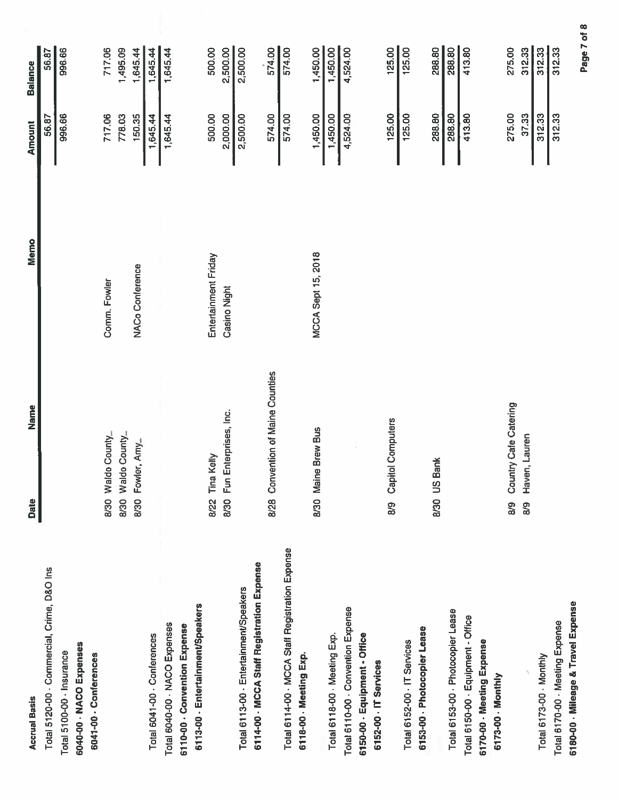| <b>Accrual Basis</b>                            | Date                   | Name                                | Memo                      | <b>Amount</b> | <b>Balance</b> |
|-------------------------------------------------|------------------------|-------------------------------------|---------------------------|---------------|----------------|
| Total 5120-00 - Commercial, Crime, D&O Ins      |                        |                                     |                           | 56.87         | 56.87          |
| Total 5100-00 - Insurance                       |                        |                                     |                           | 996.66        | 996.66         |
| 5040-00 - NACO Expenses                         |                        |                                     |                           |               |                |
| 6041-00 - Conferences                           |                        |                                     |                           |               |                |
|                                                 | Waldo County_<br>8/30  |                                     | Comm. Fowler              | 717.06        | 717.06         |
|                                                 | Waldo County<br>8/30   |                                     |                           | 778.03        | 1,495.09       |
|                                                 | Fowler, Amy_<br>8/30   |                                     | NACo Conference           | 150.35        | 1,645.44       |
| Total 6041-00 - Conferences                     |                        |                                     |                           | 1,645.44      | 1,645.44       |
| Total 6040-00 - NACO Expenses                   |                        |                                     |                           | 1,645.44      | 1,645.44       |
| 5110-00 - Convention Expense                    |                        |                                     |                           |               |                |
| 6113-00 - Entertainment/Speakers                |                        |                                     |                           |               |                |
|                                                 | Tina Kelly<br>8/22     |                                     | Entertainment Friday      | 500.00        | 500.00         |
|                                                 | 8/30                   | Fun Enterprises, Inc.               | Casino Night              | 2,000.00      | 2,500.00       |
| Total 6113-00 - Entertainment/Speakers          |                        |                                     |                           | 2,500.00      | 2,500.00       |
| 6114-00 - MCCA Staff Registration Expense       |                        |                                     |                           |               |                |
|                                                 | 8/28                   | <b>Convention of Maine Counties</b> |                           | 574.00        | 574.00         |
| Total 6114-00 - MCCA Staff Registration Expense |                        |                                     |                           | 574.00        | 574.00         |
| 6118-00 · Meeting Exp.                          |                        |                                     |                           |               |                |
|                                                 | 8/30                   | <b>Maine Brew Bus</b>               | <b>MCCA Sept 15, 2018</b> | 1,450.00      | 1,450.00       |
| Total 6118-00 - Meeting Exp.                    |                        |                                     |                           | 1,450.00      | 1,450.00       |
| Total 6110-00 - Convention Expense              |                        |                                     |                           | 4,524.00      | 4,524.00       |
| 5150-00 - Equipment - Office                    |                        |                                     |                           |               |                |
| 6152-00 - IT Services                           |                        |                                     |                           |               |                |
|                                                 | 8/9                    | Capitol Computers                   |                           | 125.00        | 125.00         |
| Total 6152-00 - IT Services                     |                        |                                     |                           | 125.00        | 125.00         |
| 6153-00 - Photocopier Lease                     |                        |                                     |                           |               |                |
|                                                 | <b>US Bank</b><br>8/30 |                                     |                           | 288.80        | 288.80         |
| Total 6153-00 - Photocopier Lease               |                        |                                     |                           | 288.80        | 288.80         |
| otal 6150-00 - Equipment - Office               |                        |                                     |                           | 413.80        | 413.80         |
| 5170-00 - Meeting Expense                       |                        |                                     |                           |               |                |
| 6173-00 - Monthly                               |                        |                                     |                           |               |                |
|                                                 | 8/9                    | <b>Country Cate Catering</b>        |                           | 275.00        | 275.00         |
|                                                 | Haven, Lauren<br>8/9   |                                     |                           | 37.33         | 312.33         |
| Total 6173-00 - Monthly                         |                        |                                     |                           | 312.33        | 312.33         |
| Total 6170-00 - Meeting Expense                 |                        |                                     |                           | 312.33        | 312.33         |
| 5180-00 - Mileage & Travel Expense              |                        |                                     |                           |               |                |

Page 7 of 8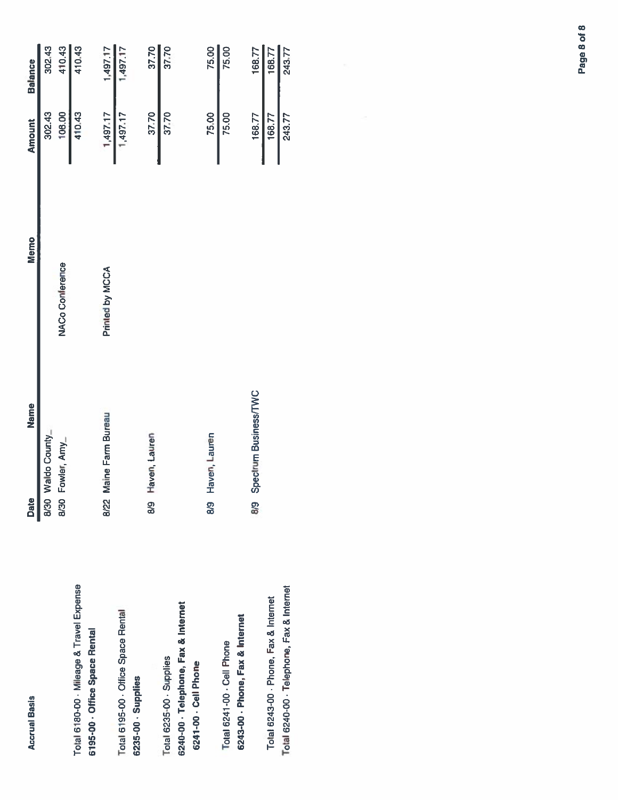| <b>Accrual Basis</b>                      | Date | <b>Name</b>           | Memo                   | Amount   | <b>Balance</b> |
|-------------------------------------------|------|-----------------------|------------------------|----------|----------------|
|                                           | 8/30 | Waldo County          |                        | 302.43   | 302.43         |
|                                           | 8/30 | Fowler, Amy_          | <b>NACo Conference</b> | 108.00   | 410.43         |
| Total 6180-00 - Mileage & Travel Expense  |      |                       |                        | 410.43   | 410.43         |
| 6195-00 - Office Space Rental             |      |                       |                        |          |                |
|                                           | 8/22 | Maine Farm Bureau     | Printed by MCCA        | 1,497.17 | 1,497.17       |
| Total 6195-00 - Office Space Rental       |      |                       |                        | 1,497.17 | 1,497.17       |
| 6235-00 - Supplies                        |      |                       |                        |          |                |
|                                           | මූ   | Haven, Lauren         |                        | 37.70    | 37.70          |
| Total 6235-00 - Supplies                  |      |                       |                        | 37.70    | 37.70          |
| 6240-00 · Telephone, Fax & Internet       |      |                       |                        |          |                |
| 6241-00 - Cell Phone                      |      |                       |                        |          |                |
|                                           | 88   | Haven, Lauren         |                        | 75,00    | 75.00          |
| Total 6241-00 - Cell Phone                |      |                       |                        | 75.00    | 75.00          |
| 6243-00 - Phone, Fax & Internet           |      |                       |                        |          |                |
|                                           | 8/9  | Spectrum Business/TWC |                        | 168.77   | 168.77         |
| Total 6243-00 - Phone, Fax & Internet     |      |                       |                        | 168.77   | 168.77         |
| Total 6240-00 - Telephone, Fax & Internet |      |                       |                        | 243.77   | 243.77         |
|                                           |      |                       |                        |          |                |

Page 8 of 8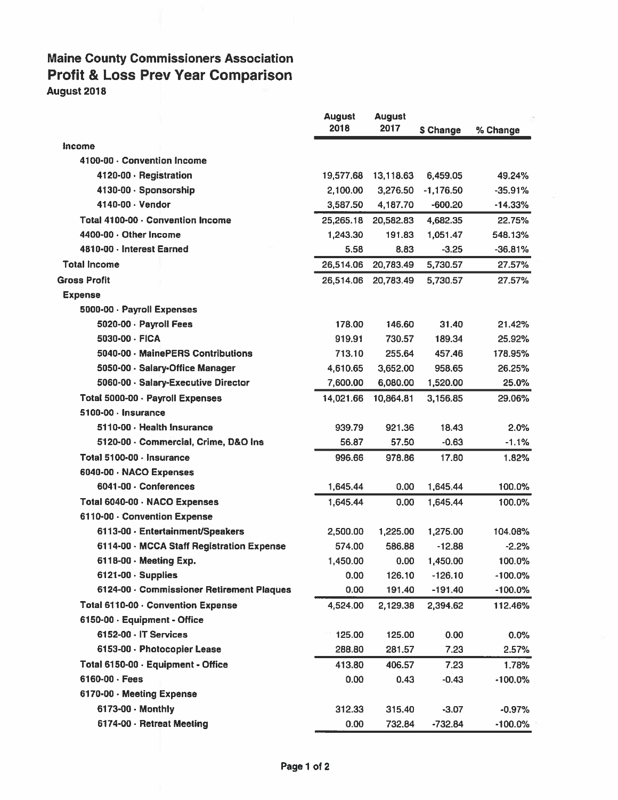# **Maine County Commissioners Association Profit & Loss Prev Year Comparison**

August 2018

|                                           | <b>August</b><br>2018 | <b>August</b><br>2017 | \$ Change   | % Change   |
|-------------------------------------------|-----------------------|-----------------------|-------------|------------|
| Income                                    |                       |                       |             |            |
| 4100-00 - Convention Income               |                       |                       |             |            |
| 4120-00 · Registration                    | 19,577.68             | 13,118.63             | 6,459.05    | 49.24%     |
| 4130-00 - Sponsorship                     | 2,100.00              | 3,276.50              | $-1,176.50$ | $-35.91%$  |
| 4140-00 · Vendor                          | 3,587.50              | 4,187.70              | $-600.20$   | $-14.33%$  |
| Total 4100-00 · Convention Income         | 25,265.18             | 20,582.83             | 4,682.35    | 22.75%     |
| 4400-00 · Other Income                    | 1,243.30              | 191.83                | 1,051.47    | 548.13%    |
| 4810-00 · Interest Earned                 | 5.58                  | 8.83                  | $-3.25$     | $-36.81%$  |
| <b>Total Income</b>                       | 26,514.06             | 20,783.49             | 5,730.57    | 27.57%     |
| Gross Profit                              | 26,514.06             | 20,783.49             | 5,730.57    | 27.57%     |
| <b>Expense</b>                            |                       |                       |             |            |
| 5000-00 · Payroll Expenses                |                       |                       |             |            |
| 5020-00 · Payroll Fees                    | 178.00                | 146.60                | 31.40       | 21.42%     |
| 5030-00 · FICA                            | 919.91                | 730.57                | 189.34      | 25.92%     |
| 5040-00 · MainePERS Contributions         | 713.10                | 255.64                | 457.46      | 178.95%    |
| 5050-00 - Salary-Office Manager           | 4,610.65              | 3,652.00              | 958.65      | 26.25%     |
| 5060-00 - Salary-Executive Director       | 7,600.00              | 6,080.00              | 1,520.00    | 25.0%      |
| Total 5000-00 · Payroll Expenses          | 14,021.66             | 10,864.81             | 3,156.85    | 29.06%     |
| $5100-00$ $\cdot$ Insurance               |                       |                       |             |            |
| 5110-00 - Health Insurance                | 939.79                | 921.36                | 18.43       | 2.0%       |
| 5120-00 · Commercial, Crime, D&O Ins      | 56.87                 | 57.50                 | $-0.63$     | $-1.1%$    |
| Total 5100-00 - Insurance                 | 996.66                | 978.86                | 17.80       | 1.82%      |
| 6040-00 · NACO Expenses                   |                       |                       |             |            |
| 6041-00 · Conferences                     | 1,645.44              | 0.00                  | 1,645.44    | 100.0%     |
| Total 6040-00 - NACO Expenses             | 1,645.44              | 0.00                  | 1,645.44    | 100.0%     |
| 6110-00 - Convention Expense              |                       |                       |             |            |
| 6113-00 - Entertainment/Speakers          | 2,500.00              | 1,225.00              | 1,275.00    | 104.08%    |
| 6114-00 - MCCA Staff Registration Expense | 574.00                | 586.88                | $-12.88$    | $-2.2%$    |
| 6118-00 · Meeting Exp.                    | 1,450.00              | 0.00                  | 1,450.00    | 100.0%     |
| 6121-00 - Supplies                        | 0.00                  | 126.10                | $-126.10$   | $-100.0\%$ |
| 6124-00 · Commissioner Retirement Plaques | 0.00                  | 191.40                | $-191.40$   | $-100.0\%$ |
| Total 6110-00 - Convention Expense        | 4,524.00              | 2,129.38              | 2,394.62    | 112.46%    |
| 6150-00 - Equipment - Office              |                       |                       |             |            |
| $6152-00 \cdot$ IT Services               | 125.00                | 125.00                | 0.00        | 0.0%       |
| 6153-00 - Photocopier Lease               | 288.80                | 281.57                | 7.23        | 2.57%      |
| Total 6150-00 - Equipment - Office        | 413.80                | 406.57                | 7.23        | 1.78%      |
| $6160-00 \cdot \text{Fees}$               | 0.00                  | 0.43                  | $-0.43$     | $-100.0%$  |
| 6170-00 · Meeting Expense                 |                       |                       |             |            |
| 6173-00 - Monthly                         | 312.33                | 315.40                | $-3.07$     | $-0.97%$   |
| 6174-00 - Retreat Meeting                 | 0.00                  | 732.84                | $-732.84$   | $-100.0\%$ |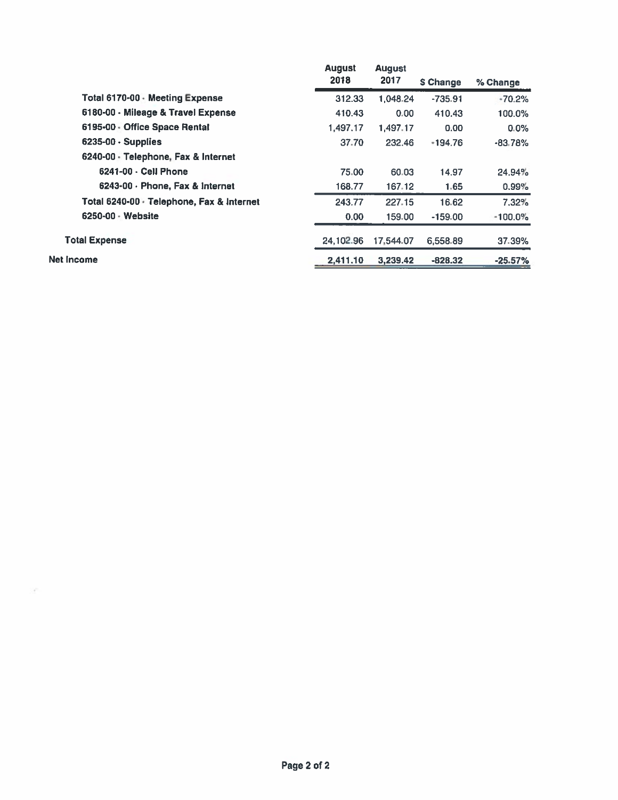|                                         | August<br>2018 | <b>August</b><br>2017 | <b>S</b> Change | % Change   |
|-----------------------------------------|----------------|-----------------------|-----------------|------------|
| Total 6170-00 - Meeting Expense         | 312.33         | 1,048.24              | $-735.91$       | $-70.2%$   |
| 6180-00 - Mileage & Travel Expense      | 410.43         | 0.00                  | 410.43          | 100.0%     |
| 6195-00 - Office Space Rental           | 1,497.17       | 1.497.17              | 0.00            | $0.0\%$    |
| $6235-00 \cdot$ Supplies                | 37.70          | 232.46                | $-194.76$       | $-83.78%$  |
| 6240-00 - Telephone, Fax & Internet     |                |                       |                 |            |
| 6241-00 - Cell Phone                    | 75.00          | 60.03                 | 14.97           | 24.94%     |
| 6243-00 · Phone, Fax & Internet         | 168.77         | 167.12                | 1.65            | 0.99%      |
| Total 6240-00 Telephone, Fax & Internet | 243.77         | 227.15                | 16.62           | 7.32%      |
| 6250-00 - Website                       | 0.00           | 159.00                | $-159.00$       | $-100.0\%$ |
| <b>Total Expense</b>                    | 24,102.96      | 17.544.07             | 6,558.89        | 37.39%     |
| Net Income                              | 2,411.10       | 3,239.42              | $-828.32$       | $-25.57%$  |

 $\mathcal{H}$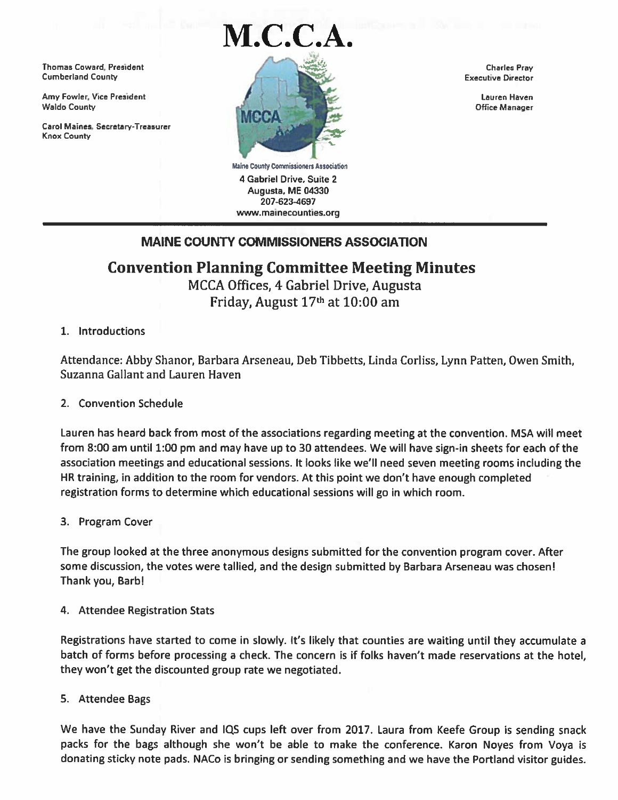**Thomas Coward, President Cumberland County** 

Amy Fowler, Vice President **Waldo County** 

Carol Maines, Secretary-Treasurer **Knox County** 



4 Gabriel Drive, Suite 2 Augusta, ME 04330 207-623-4697 www.mainecounties.org

**Charles Pray Executive Director** 

> Lauren Haven **Office Manager**

## **MAINE COUNTY COMMISSIONERS ASSOCIATION**

# **Convention Planning Committee Meeting Minutes**

MCCA Offices, 4 Gabriel Drive, Augusta Friday, August 17<sup>th</sup> at 10:00 am

1. Introductions

Attendance: Abby Shanor, Barbara Arseneau, Deb Tibbetts, Linda Corliss, Lynn Patten, Owen Smith, Suzanna Gallant and Lauren Haven

2. Convention Schedule

Lauren has heard back from most of the associations regarding meeting at the convention. MSA will meet from 8:00 am until 1:00 pm and may have up to 30 attendees. We will have sign-in sheets for each of the association meetings and educational sessions. It looks like we'll need seven meeting rooms including the HR training, in addition to the room for vendors. At this point we don't have enough completed registration forms to determine which educational sessions will go in which room.

3. Program Cover

The group looked at the three anonymous designs submitted for the convention program cover. After some discussion, the votes were tallied, and the design submitted by Barbara Arseneau was chosen! Thank you, Barb!

4. Attendee Registration Stats

Registrations have started to come in slowly. It's likely that counties are waiting until they accumulate a batch of forms before processing a check. The concern is if folks haven't made reservations at the hotel, they won't get the discounted group rate we negotiated.

5. Attendee Bags

We have the Sunday River and IQS cups left over from 2017. Laura from Keefe Group is sending snack packs for the bags although she won't be able to make the conference. Karon Noyes from Voya is donating sticky note pads. NACo is bringing or sending something and we have the Portland visitor guides.